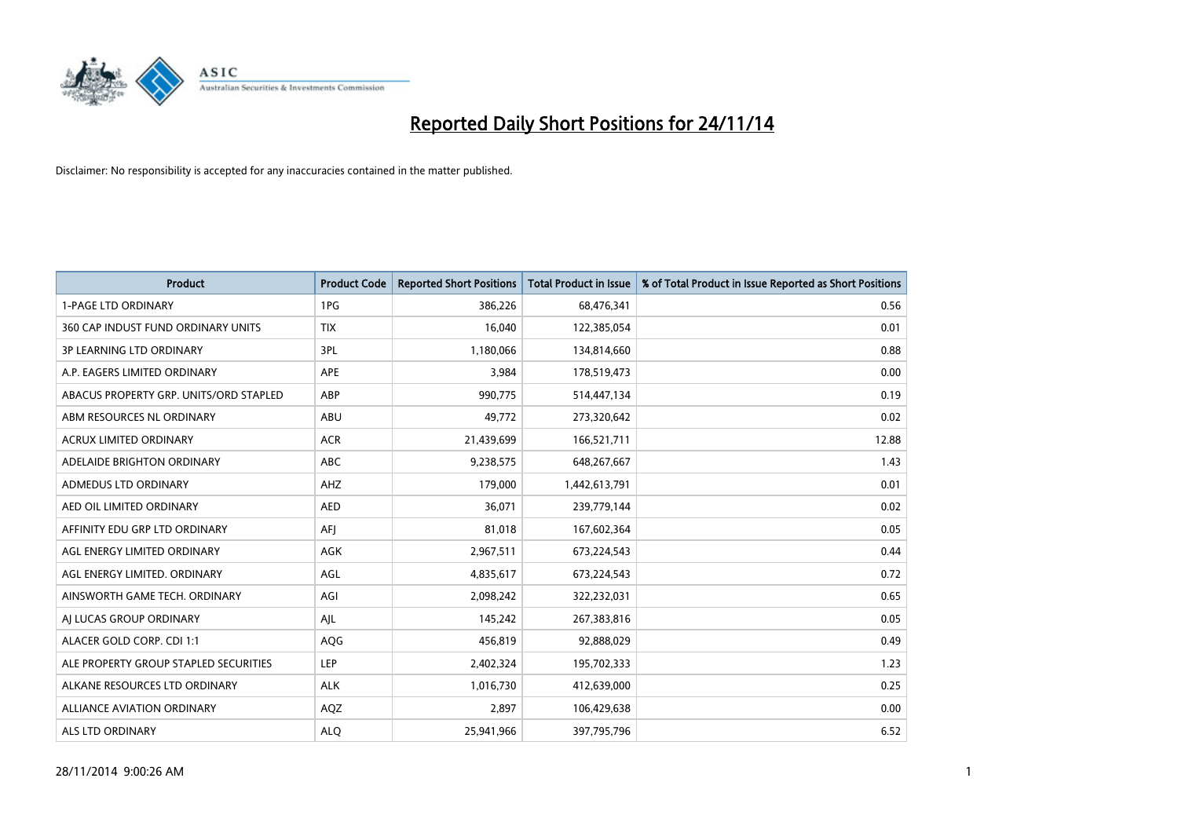

| <b>Product</b>                         | <b>Product Code</b> | <b>Reported Short Positions</b> | <b>Total Product in Issue</b> | % of Total Product in Issue Reported as Short Positions |
|----------------------------------------|---------------------|---------------------------------|-------------------------------|---------------------------------------------------------|
| <b>1-PAGE LTD ORDINARY</b>             | 1PG                 | 386,226                         | 68,476,341                    | 0.56                                                    |
| 360 CAP INDUST FUND ORDINARY UNITS     | <b>TIX</b>          | 16,040                          | 122,385,054                   | 0.01                                                    |
| <b>3P LEARNING LTD ORDINARY</b>        | 3PL                 | 1,180,066                       | 134,814,660                   | 0.88                                                    |
| A.P. EAGERS LIMITED ORDINARY           | APE                 | 3,984                           | 178,519,473                   | 0.00                                                    |
| ABACUS PROPERTY GRP. UNITS/ORD STAPLED | ABP                 | 990,775                         | 514,447,134                   | 0.19                                                    |
| ABM RESOURCES NL ORDINARY              | ABU                 | 49,772                          | 273,320,642                   | 0.02                                                    |
| <b>ACRUX LIMITED ORDINARY</b>          | <b>ACR</b>          | 21,439,699                      | 166,521,711                   | 12.88                                                   |
| ADELAIDE BRIGHTON ORDINARY             | <b>ABC</b>          | 9,238,575                       | 648,267,667                   | 1.43                                                    |
| ADMEDUS LTD ORDINARY                   | AHZ                 | 179,000                         | 1,442,613,791                 | 0.01                                                    |
| AED OIL LIMITED ORDINARY               | <b>AED</b>          | 36,071                          | 239,779,144                   | 0.02                                                    |
| AFFINITY EDU GRP LTD ORDINARY          | AFJ                 | 81,018                          | 167,602,364                   | 0.05                                                    |
| AGL ENERGY LIMITED ORDINARY            | AGK                 | 2,967,511                       | 673,224,543                   | 0.44                                                    |
| AGL ENERGY LIMITED. ORDINARY           | AGL                 | 4,835,617                       | 673,224,543                   | 0.72                                                    |
| AINSWORTH GAME TECH. ORDINARY          | AGI                 | 2,098,242                       | 322,232,031                   | 0.65                                                    |
| AI LUCAS GROUP ORDINARY                | AJL                 | 145,242                         | 267,383,816                   | 0.05                                                    |
| ALACER GOLD CORP. CDI 1:1              | AQG                 | 456,819                         | 92,888,029                    | 0.49                                                    |
| ALE PROPERTY GROUP STAPLED SECURITIES  | LEP                 | 2,402,324                       | 195,702,333                   | 1.23                                                    |
| ALKANE RESOURCES LTD ORDINARY          | <b>ALK</b>          | 1,016,730                       | 412,639,000                   | 0.25                                                    |
| <b>ALLIANCE AVIATION ORDINARY</b>      | AQZ                 | 2,897                           | 106,429,638                   | 0.00                                                    |
| ALS LTD ORDINARY                       | <b>ALO</b>          | 25,941,966                      | 397,795,796                   | 6.52                                                    |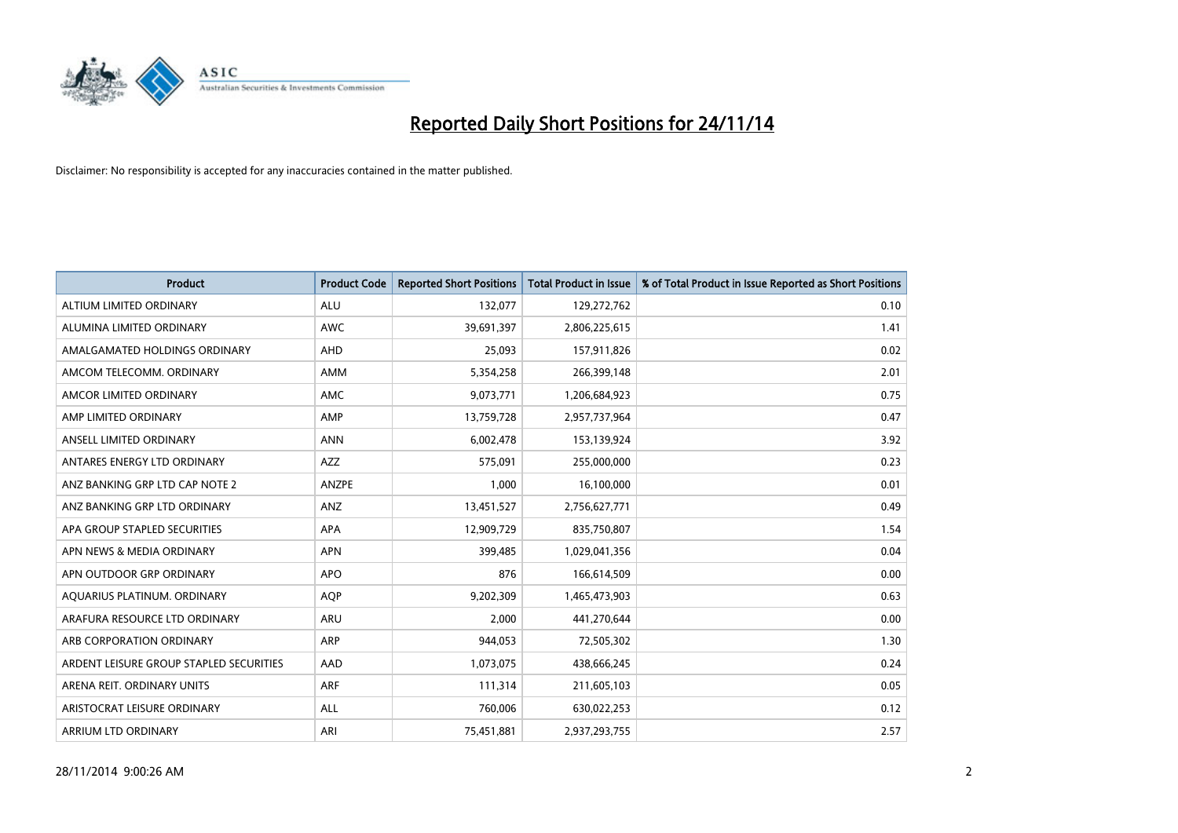

| <b>Product</b>                          | <b>Product Code</b> | <b>Reported Short Positions</b> | <b>Total Product in Issue</b> | % of Total Product in Issue Reported as Short Positions |
|-----------------------------------------|---------------------|---------------------------------|-------------------------------|---------------------------------------------------------|
| ALTIUM LIMITED ORDINARY                 | <b>ALU</b>          | 132,077                         | 129,272,762                   | 0.10                                                    |
| ALUMINA LIMITED ORDINARY                | AWC                 | 39,691,397                      | 2,806,225,615                 | 1.41                                                    |
| AMALGAMATED HOLDINGS ORDINARY           | AHD                 | 25,093                          | 157,911,826                   | 0.02                                                    |
| AMCOM TELECOMM, ORDINARY                | AMM                 | 5,354,258                       | 266,399,148                   | 2.01                                                    |
| AMCOR LIMITED ORDINARY                  | AMC                 | 9,073,771                       | 1,206,684,923                 | 0.75                                                    |
| AMP LIMITED ORDINARY                    | AMP                 | 13,759,728                      | 2,957,737,964                 | 0.47                                                    |
| ANSELL LIMITED ORDINARY                 | <b>ANN</b>          | 6,002,478                       | 153,139,924                   | 3.92                                                    |
| ANTARES ENERGY LTD ORDINARY             | AZZ                 | 575,091                         | 255,000,000                   | 0.23                                                    |
| ANZ BANKING GRP LTD CAP NOTE 2          | ANZPE               | 1,000                           | 16,100,000                    | 0.01                                                    |
| ANZ BANKING GRP LTD ORDINARY            | ANZ                 | 13,451,527                      | 2,756,627,771                 | 0.49                                                    |
| APA GROUP STAPLED SECURITIES            | APA                 | 12,909,729                      | 835,750,807                   | 1.54                                                    |
| APN NEWS & MEDIA ORDINARY               | <b>APN</b>          | 399,485                         | 1,029,041,356                 | 0.04                                                    |
| APN OUTDOOR GRP ORDINARY                | <b>APO</b>          | 876                             | 166,614,509                   | 0.00                                                    |
| AQUARIUS PLATINUM. ORDINARY             | <b>AOP</b>          | 9,202,309                       | 1,465,473,903                 | 0.63                                                    |
| ARAFURA RESOURCE LTD ORDINARY           | ARU                 | 2,000                           | 441,270,644                   | 0.00                                                    |
| ARB CORPORATION ORDINARY                | ARP                 | 944,053                         | 72,505,302                    | 1.30                                                    |
| ARDENT LEISURE GROUP STAPLED SECURITIES | AAD                 | 1,073,075                       | 438,666,245                   | 0.24                                                    |
| ARENA REIT. ORDINARY UNITS              | <b>ARF</b>          | 111,314                         | 211,605,103                   | 0.05                                                    |
| ARISTOCRAT LEISURE ORDINARY             | <b>ALL</b>          | 760,006                         | 630,022,253                   | 0.12                                                    |
| ARRIUM LTD ORDINARY                     | ARI                 | 75,451,881                      | 2,937,293,755                 | 2.57                                                    |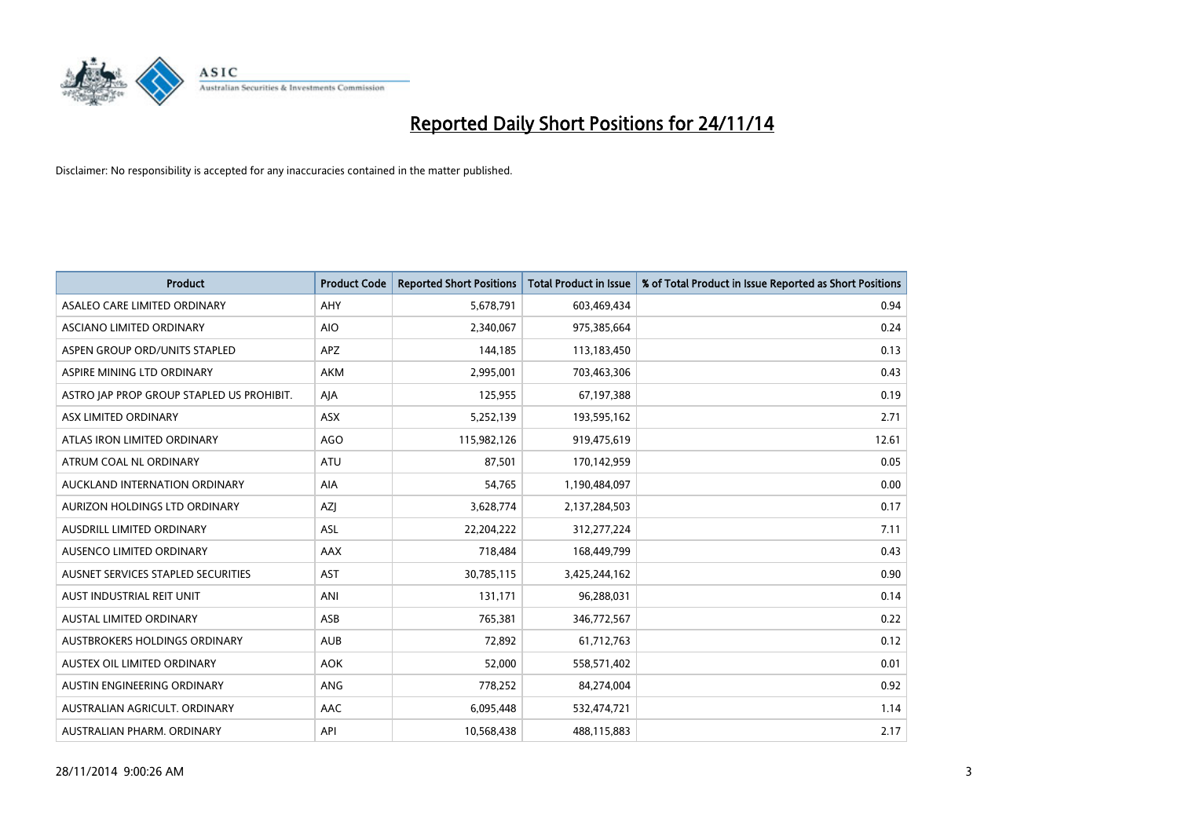

| <b>Product</b>                            | <b>Product Code</b> | <b>Reported Short Positions</b> | <b>Total Product in Issue</b> | % of Total Product in Issue Reported as Short Positions |
|-------------------------------------------|---------------------|---------------------------------|-------------------------------|---------------------------------------------------------|
| ASALEO CARE LIMITED ORDINARY              | AHY                 | 5,678,791                       | 603,469,434                   | 0.94                                                    |
| ASCIANO LIMITED ORDINARY                  | <b>AIO</b>          | 2,340,067                       | 975,385,664                   | 0.24                                                    |
| ASPEN GROUP ORD/UNITS STAPLED             | APZ                 | 144,185                         | 113,183,450                   | 0.13                                                    |
| ASPIRE MINING LTD ORDINARY                | <b>AKM</b>          | 2,995,001                       | 703,463,306                   | 0.43                                                    |
| ASTRO JAP PROP GROUP STAPLED US PROHIBIT. | AJA                 | 125,955                         | 67,197,388                    | 0.19                                                    |
| ASX LIMITED ORDINARY                      | ASX                 | 5,252,139                       | 193,595,162                   | 2.71                                                    |
| ATLAS IRON LIMITED ORDINARY               | <b>AGO</b>          | 115,982,126                     | 919,475,619                   | 12.61                                                   |
| ATRUM COAL NL ORDINARY                    | ATU                 | 87,501                          | 170,142,959                   | 0.05                                                    |
| AUCKLAND INTERNATION ORDINARY             | <b>AIA</b>          | 54,765                          | 1,190,484,097                 | 0.00                                                    |
| AURIZON HOLDINGS LTD ORDINARY             | AZJ                 | 3,628,774                       | 2,137,284,503                 | 0.17                                                    |
| AUSDRILL LIMITED ORDINARY                 | ASL                 | 22,204,222                      | 312,277,224                   | 7.11                                                    |
| AUSENCO LIMITED ORDINARY                  | AAX                 | 718,484                         | 168,449,799                   | 0.43                                                    |
| AUSNET SERVICES STAPLED SECURITIES        | <b>AST</b>          | 30,785,115                      | 3,425,244,162                 | 0.90                                                    |
| <b>AUST INDUSTRIAL REIT UNIT</b>          | ANI                 | 131,171                         | 96,288,031                    | 0.14                                                    |
| <b>AUSTAL LIMITED ORDINARY</b>            | ASB                 | 765,381                         | 346,772,567                   | 0.22                                                    |
| AUSTBROKERS HOLDINGS ORDINARY             | <b>AUB</b>          | 72,892                          | 61,712,763                    | 0.12                                                    |
| AUSTEX OIL LIMITED ORDINARY               | <b>AOK</b>          | 52,000                          | 558,571,402                   | 0.01                                                    |
| AUSTIN ENGINEERING ORDINARY               | ANG                 | 778,252                         | 84,274,004                    | 0.92                                                    |
| AUSTRALIAN AGRICULT, ORDINARY             | AAC                 | 6,095,448                       | 532,474,721                   | 1.14                                                    |
| AUSTRALIAN PHARM. ORDINARY                | API                 | 10,568,438                      | 488,115,883                   | 2.17                                                    |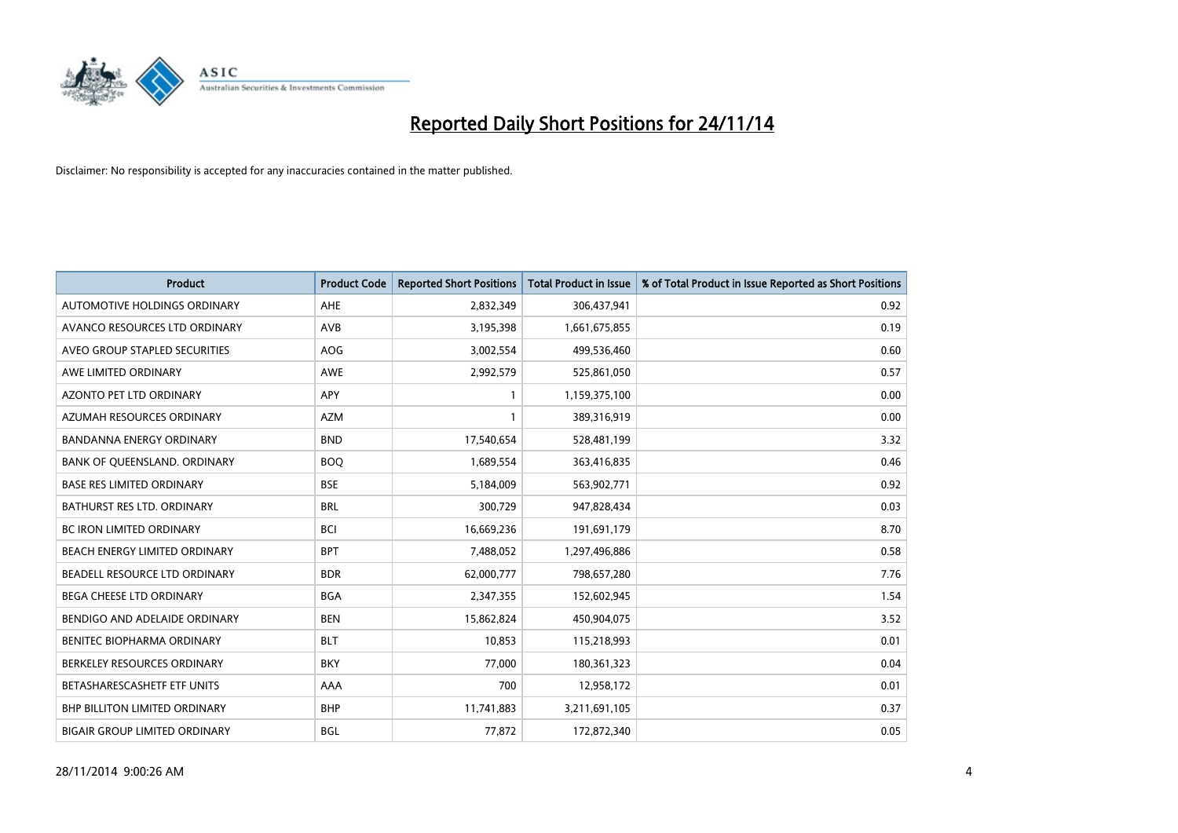

| <b>Product</b>                       | <b>Product Code</b> | <b>Reported Short Positions</b> | <b>Total Product in Issue</b> | % of Total Product in Issue Reported as Short Positions |
|--------------------------------------|---------------------|---------------------------------|-------------------------------|---------------------------------------------------------|
| <b>AUTOMOTIVE HOLDINGS ORDINARY</b>  | AHE                 | 2,832,349                       | 306,437,941                   | 0.92                                                    |
| AVANCO RESOURCES LTD ORDINARY        | <b>AVB</b>          | 3,195,398                       | 1,661,675,855                 | 0.19                                                    |
| AVEO GROUP STAPLED SECURITIES        | AOG                 | 3,002,554                       | 499,536,460                   | 0.60                                                    |
| AWE LIMITED ORDINARY                 | AWE                 | 2,992,579                       | 525,861,050                   | 0.57                                                    |
| <b>AZONTO PET LTD ORDINARY</b>       | <b>APY</b>          | 1                               | 1,159,375,100                 | 0.00                                                    |
| AZUMAH RESOURCES ORDINARY            | <b>AZM</b>          |                                 | 389,316,919                   | 0.00                                                    |
| <b>BANDANNA ENERGY ORDINARY</b>      | <b>BND</b>          | 17,540,654                      | 528,481,199                   | 3.32                                                    |
| BANK OF QUEENSLAND. ORDINARY         | <b>BOQ</b>          | 1,689,554                       | 363,416,835                   | 0.46                                                    |
| <b>BASE RES LIMITED ORDINARY</b>     | <b>BSE</b>          | 5,184,009                       | 563,902,771                   | 0.92                                                    |
| <b>BATHURST RES LTD. ORDINARY</b>    | <b>BRL</b>          | 300,729                         | 947,828,434                   | 0.03                                                    |
| BC IRON LIMITED ORDINARY             | <b>BCI</b>          | 16,669,236                      | 191,691,179                   | 8.70                                                    |
| BEACH ENERGY LIMITED ORDINARY        | <b>BPT</b>          | 7,488,052                       | 1,297,496,886                 | 0.58                                                    |
| BEADELL RESOURCE LTD ORDINARY        | <b>BDR</b>          | 62,000,777                      | 798,657,280                   | 7.76                                                    |
| <b>BEGA CHEESE LTD ORDINARY</b>      | <b>BGA</b>          | 2,347,355                       | 152,602,945                   | 1.54                                                    |
| BENDIGO AND ADELAIDE ORDINARY        | <b>BEN</b>          | 15,862,824                      | 450,904,075                   | 3.52                                                    |
| BENITEC BIOPHARMA ORDINARY           | <b>BLT</b>          | 10,853                          | 115,218,993                   | 0.01                                                    |
| BERKELEY RESOURCES ORDINARY          | <b>BKY</b>          | 77,000                          | 180,361,323                   | 0.04                                                    |
| BETASHARESCASHETF ETF UNITS          | AAA                 | 700                             | 12,958,172                    | 0.01                                                    |
| <b>BHP BILLITON LIMITED ORDINARY</b> | <b>BHP</b>          | 11,741,883                      | 3,211,691,105                 | 0.37                                                    |
| <b>BIGAIR GROUP LIMITED ORDINARY</b> | BGL                 | 77,872                          | 172,872,340                   | 0.05                                                    |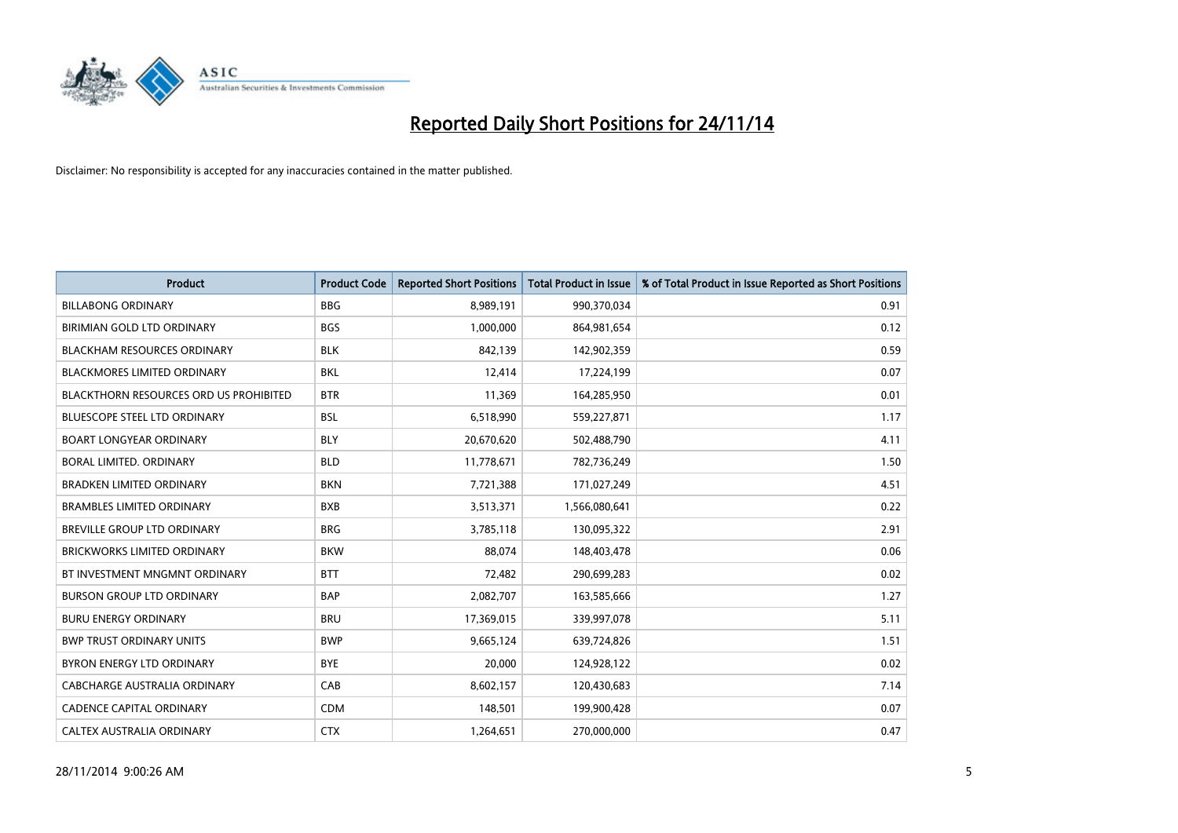

| <b>Product</b>                                | <b>Product Code</b> | <b>Reported Short Positions</b> | <b>Total Product in Issue</b> | % of Total Product in Issue Reported as Short Positions |
|-----------------------------------------------|---------------------|---------------------------------|-------------------------------|---------------------------------------------------------|
| <b>BILLABONG ORDINARY</b>                     | <b>BBG</b>          | 8,989,191                       | 990,370,034                   | 0.91                                                    |
| BIRIMIAN GOLD LTD ORDINARY                    | <b>BGS</b>          | 1,000,000                       | 864,981,654                   | 0.12                                                    |
| <b>BLACKHAM RESOURCES ORDINARY</b>            | <b>BLK</b>          | 842,139                         | 142,902,359                   | 0.59                                                    |
| <b>BLACKMORES LIMITED ORDINARY</b>            | <b>BKL</b>          | 12,414                          | 17,224,199                    | 0.07                                                    |
| <b>BLACKTHORN RESOURCES ORD US PROHIBITED</b> | <b>BTR</b>          | 11,369                          | 164,285,950                   | 0.01                                                    |
| <b>BLUESCOPE STEEL LTD ORDINARY</b>           | <b>BSL</b>          | 6,518,990                       | 559,227,871                   | 1.17                                                    |
| <b>BOART LONGYEAR ORDINARY</b>                | <b>BLY</b>          | 20,670,620                      | 502,488,790                   | 4.11                                                    |
| BORAL LIMITED, ORDINARY                       | <b>BLD</b>          | 11,778,671                      | 782,736,249                   | 1.50                                                    |
| <b>BRADKEN LIMITED ORDINARY</b>               | <b>BKN</b>          | 7,721,388                       | 171,027,249                   | 4.51                                                    |
| <b>BRAMBLES LIMITED ORDINARY</b>              | <b>BXB</b>          | 3,513,371                       | 1,566,080,641                 | 0.22                                                    |
| BREVILLE GROUP LTD ORDINARY                   | <b>BRG</b>          | 3,785,118                       | 130,095,322                   | 2.91                                                    |
| <b>BRICKWORKS LIMITED ORDINARY</b>            | <b>BKW</b>          | 88,074                          | 148,403,478                   | 0.06                                                    |
| BT INVESTMENT MNGMNT ORDINARY                 | <b>BTT</b>          | 72,482                          | 290,699,283                   | 0.02                                                    |
| <b>BURSON GROUP LTD ORDINARY</b>              | <b>BAP</b>          | 2,082,707                       | 163,585,666                   | 1.27                                                    |
| <b>BURU ENERGY ORDINARY</b>                   | <b>BRU</b>          | 17,369,015                      | 339,997,078                   | 5.11                                                    |
| <b>BWP TRUST ORDINARY UNITS</b>               | <b>BWP</b>          | 9,665,124                       | 639,724,826                   | 1.51                                                    |
| BYRON ENERGY LTD ORDINARY                     | <b>BYE</b>          | 20,000                          | 124,928,122                   | 0.02                                                    |
| <b>CABCHARGE AUSTRALIA ORDINARY</b>           | CAB                 | 8,602,157                       | 120,430,683                   | 7.14                                                    |
| CADENCE CAPITAL ORDINARY                      | <b>CDM</b>          | 148,501                         | 199,900,428                   | 0.07                                                    |
| CALTEX AUSTRALIA ORDINARY                     | <b>CTX</b>          | 1,264,651                       | 270,000,000                   | 0.47                                                    |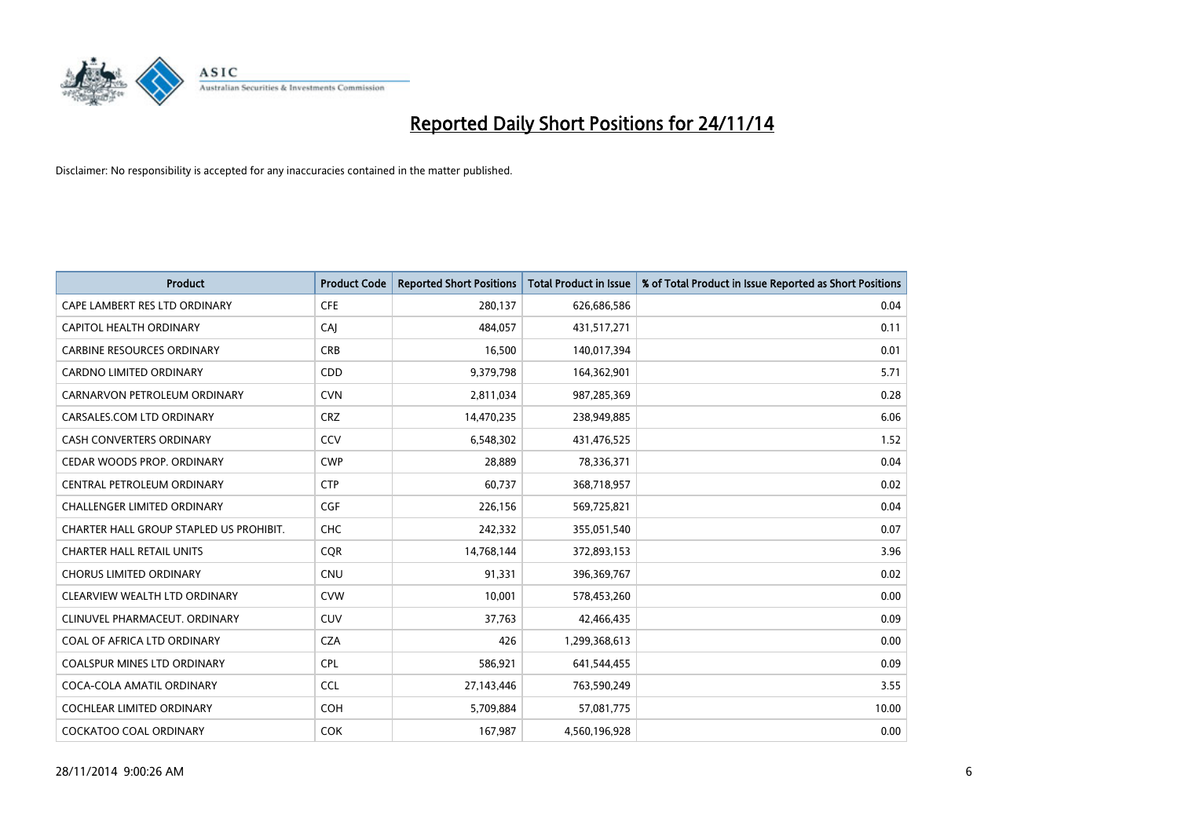

| <b>Product</b>                          | <b>Product Code</b> | <b>Reported Short Positions</b> | <b>Total Product in Issue</b> | % of Total Product in Issue Reported as Short Positions |
|-----------------------------------------|---------------------|---------------------------------|-------------------------------|---------------------------------------------------------|
| CAPE LAMBERT RES LTD ORDINARY           | <b>CFE</b>          | 280,137                         | 626,686,586                   | 0.04                                                    |
| CAPITOL HEALTH ORDINARY                 | CAI                 | 484,057                         | 431,517,271                   | 0.11                                                    |
| <b>CARBINE RESOURCES ORDINARY</b>       | <b>CRB</b>          | 16,500                          | 140,017,394                   | 0.01                                                    |
| <b>CARDNO LIMITED ORDINARY</b>          | CDD                 | 9,379,798                       | 164,362,901                   | 5.71                                                    |
| CARNARVON PETROLEUM ORDINARY            | <b>CVN</b>          | 2,811,034                       | 987,285,369                   | 0.28                                                    |
| CARSALES.COM LTD ORDINARY               | <b>CRZ</b>          | 14,470,235                      | 238,949,885                   | 6.06                                                    |
| CASH CONVERTERS ORDINARY                | CCV                 | 6,548,302                       | 431,476,525                   | 1.52                                                    |
| CEDAR WOODS PROP. ORDINARY              | <b>CWP</b>          | 28,889                          | 78,336,371                    | 0.04                                                    |
| CENTRAL PETROLEUM ORDINARY              | <b>CTP</b>          | 60,737                          | 368,718,957                   | 0.02                                                    |
| <b>CHALLENGER LIMITED ORDINARY</b>      | <b>CGF</b>          | 226,156                         | 569,725,821                   | 0.04                                                    |
| CHARTER HALL GROUP STAPLED US PROHIBIT. | <b>CHC</b>          | 242,332                         | 355,051,540                   | 0.07                                                    |
| <b>CHARTER HALL RETAIL UNITS</b>        | <b>CQR</b>          | 14,768,144                      | 372,893,153                   | 3.96                                                    |
| <b>CHORUS LIMITED ORDINARY</b>          | <b>CNU</b>          | 91,331                          | 396,369,767                   | 0.02                                                    |
| CLEARVIEW WEALTH LTD ORDINARY           | <b>CVW</b>          | 10,001                          | 578,453,260                   | 0.00                                                    |
| CLINUVEL PHARMACEUT, ORDINARY           | CUV                 | 37,763                          | 42,466,435                    | 0.09                                                    |
| COAL OF AFRICA LTD ORDINARY             | <b>CZA</b>          | 426                             | 1,299,368,613                 | 0.00                                                    |
| COALSPUR MINES LTD ORDINARY             | <b>CPL</b>          | 586,921                         | 641,544,455                   | 0.09                                                    |
| COCA-COLA AMATIL ORDINARY               | <b>CCL</b>          | 27,143,446                      | 763,590,249                   | 3.55                                                    |
| <b>COCHLEAR LIMITED ORDINARY</b>        | <b>COH</b>          | 5,709,884                       | 57,081,775                    | 10.00                                                   |
| COCKATOO COAL ORDINARY                  | <b>COK</b>          | 167,987                         | 4,560,196,928                 | 0.00                                                    |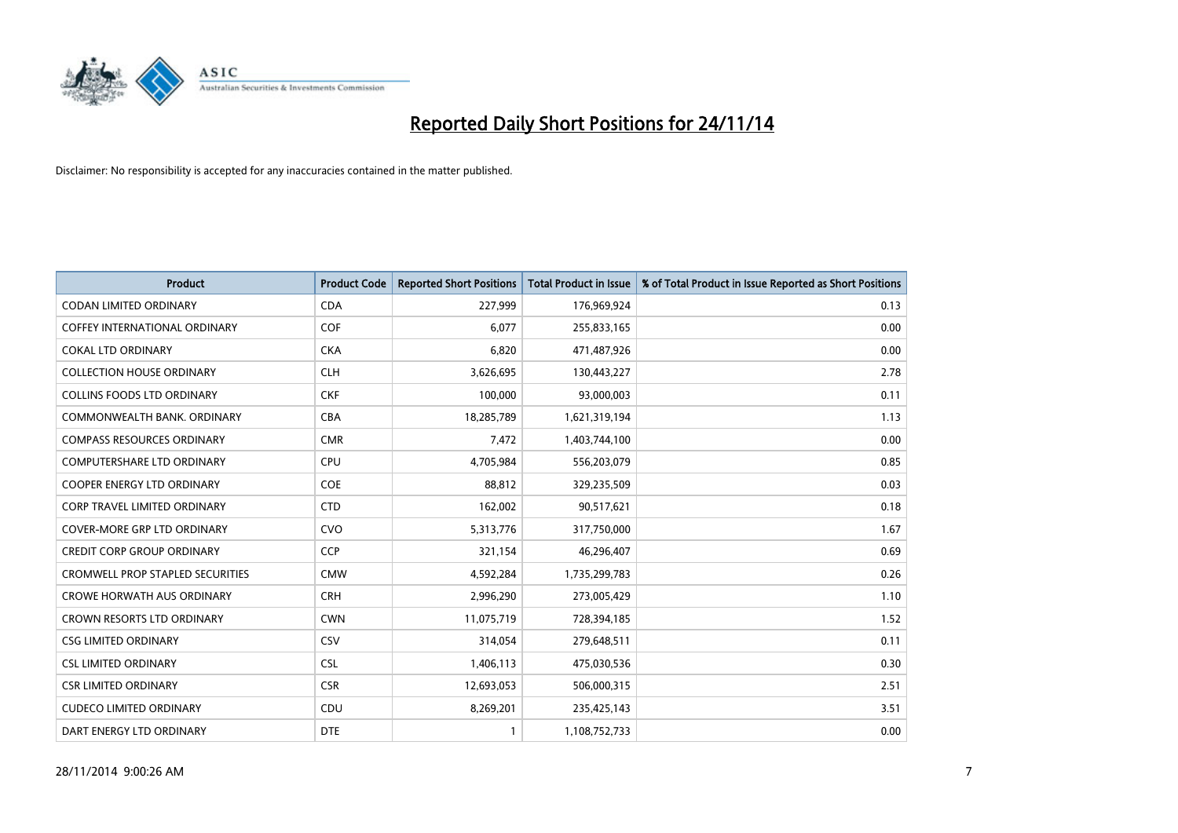

| <b>Product</b>                      | <b>Product Code</b> | <b>Reported Short Positions</b> | <b>Total Product in Issue</b> | % of Total Product in Issue Reported as Short Positions |
|-------------------------------------|---------------------|---------------------------------|-------------------------------|---------------------------------------------------------|
| <b>CODAN LIMITED ORDINARY</b>       | <b>CDA</b>          | 227,999                         | 176,969,924                   | 0.13                                                    |
| COFFEY INTERNATIONAL ORDINARY       | <b>COF</b>          | 6,077                           | 255,833,165                   | 0.00                                                    |
| <b>COKAL LTD ORDINARY</b>           | <b>CKA</b>          | 6,820                           | 471,487,926                   | 0.00                                                    |
| <b>COLLECTION HOUSE ORDINARY</b>    | <b>CLH</b>          | 3,626,695                       | 130,443,227                   | 2.78                                                    |
| <b>COLLINS FOODS LTD ORDINARY</b>   | <b>CKF</b>          | 100,000                         | 93,000,003                    | 0.11                                                    |
| COMMONWEALTH BANK, ORDINARY         | <b>CBA</b>          | 18,285,789                      | 1,621,319,194                 | 1.13                                                    |
| <b>COMPASS RESOURCES ORDINARY</b>   | <b>CMR</b>          | 7,472                           | 1,403,744,100                 | 0.00                                                    |
| COMPUTERSHARE LTD ORDINARY          | <b>CPU</b>          | 4,705,984                       | 556,203,079                   | 0.85                                                    |
| <b>COOPER ENERGY LTD ORDINARY</b>   | <b>COE</b>          | 88,812                          | 329,235,509                   | 0.03                                                    |
| <b>CORP TRAVEL LIMITED ORDINARY</b> | <b>CTD</b>          | 162,002                         | 90,517,621                    | 0.18                                                    |
| COVER-MORE GRP LTD ORDINARY         | <b>CVO</b>          | 5,313,776                       | 317,750,000                   | 1.67                                                    |
| <b>CREDIT CORP GROUP ORDINARY</b>   | <b>CCP</b>          | 321,154                         | 46,296,407                    | 0.69                                                    |
| CROMWELL PROP STAPLED SECURITIES    | <b>CMW</b>          | 4,592,284                       | 1,735,299,783                 | 0.26                                                    |
| <b>CROWE HORWATH AUS ORDINARY</b>   | <b>CRH</b>          | 2,996,290                       | 273,005,429                   | 1.10                                                    |
| <b>CROWN RESORTS LTD ORDINARY</b>   | <b>CWN</b>          | 11,075,719                      | 728,394,185                   | 1.52                                                    |
| <b>CSG LIMITED ORDINARY</b>         | CSV                 | 314,054                         | 279,648,511                   | 0.11                                                    |
| <b>CSL LIMITED ORDINARY</b>         | <b>CSL</b>          | 1,406,113                       | 475,030,536                   | 0.30                                                    |
| <b>CSR LIMITED ORDINARY</b>         | <b>CSR</b>          | 12,693,053                      | 506,000,315                   | 2.51                                                    |
| <b>CUDECO LIMITED ORDINARY</b>      | CDU                 | 8,269,201                       | 235,425,143                   | 3.51                                                    |
| DART ENERGY LTD ORDINARY            | <b>DTE</b>          |                                 | 1,108,752,733                 | 0.00                                                    |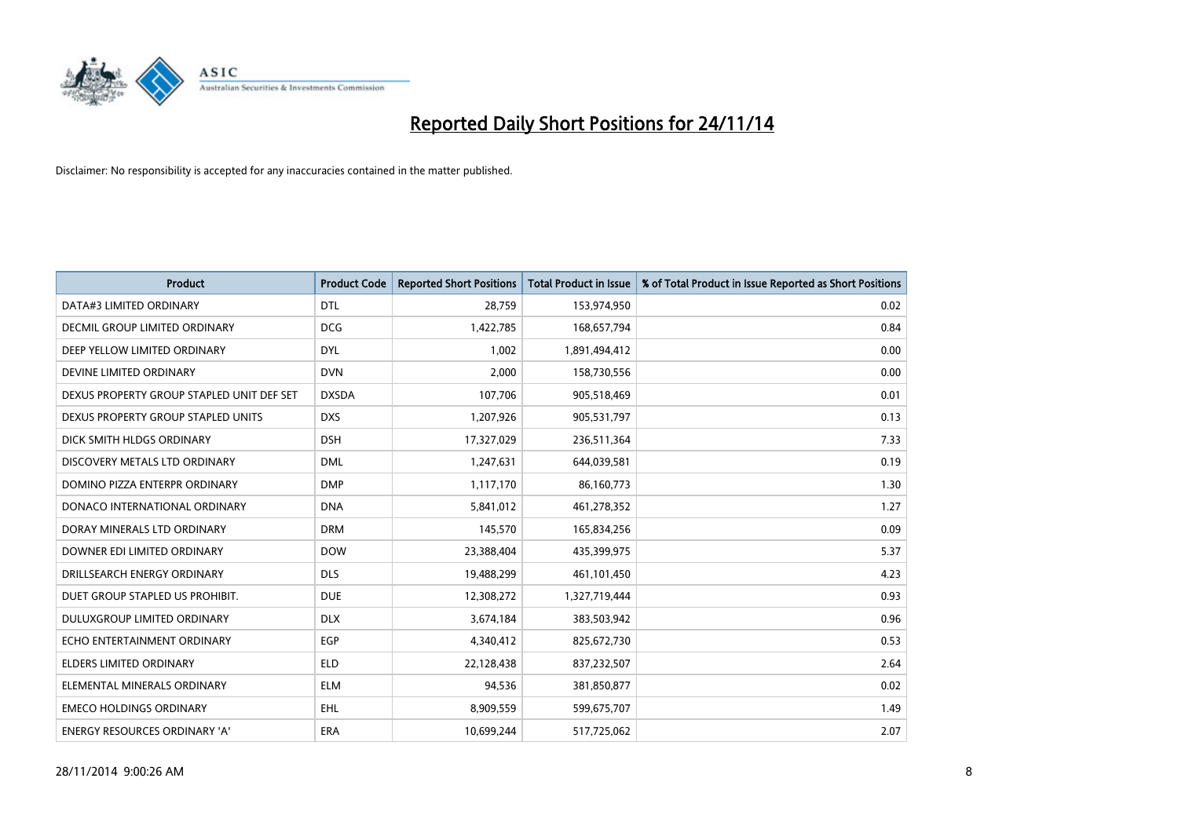

| <b>Product</b>                            | <b>Product Code</b> | <b>Reported Short Positions</b> | <b>Total Product in Issue</b> | % of Total Product in Issue Reported as Short Positions |
|-------------------------------------------|---------------------|---------------------------------|-------------------------------|---------------------------------------------------------|
| DATA#3 LIMITED ORDINARY                   | <b>DTL</b>          | 28,759                          | 153,974,950                   | 0.02                                                    |
| DECMIL GROUP LIMITED ORDINARY             | <b>DCG</b>          | 1,422,785                       | 168,657,794                   | 0.84                                                    |
| DEEP YELLOW LIMITED ORDINARY              | <b>DYL</b>          | 1,002                           | 1,891,494,412                 | 0.00                                                    |
| DEVINE LIMITED ORDINARY                   | <b>DVN</b>          | 2,000                           | 158,730,556                   | 0.00                                                    |
| DEXUS PROPERTY GROUP STAPLED UNIT DEF SET | <b>DXSDA</b>        | 107,706                         | 905,518,469                   | 0.01                                                    |
| DEXUS PROPERTY GROUP STAPLED UNITS        | <b>DXS</b>          | 1,207,926                       | 905,531,797                   | 0.13                                                    |
| DICK SMITH HLDGS ORDINARY                 | <b>DSH</b>          | 17,327,029                      | 236,511,364                   | 7.33                                                    |
| DISCOVERY METALS LTD ORDINARY             | <b>DML</b>          | 1,247,631                       | 644,039,581                   | 0.19                                                    |
| DOMINO PIZZA ENTERPR ORDINARY             | <b>DMP</b>          | 1,117,170                       | 86,160,773                    | 1.30                                                    |
| DONACO INTERNATIONAL ORDINARY             | <b>DNA</b>          | 5,841,012                       | 461,278,352                   | 1.27                                                    |
| DORAY MINERALS LTD ORDINARY               | <b>DRM</b>          | 145,570                         | 165,834,256                   | 0.09                                                    |
| DOWNER EDI LIMITED ORDINARY               | <b>DOW</b>          | 23,388,404                      | 435,399,975                   | 5.37                                                    |
| DRILLSEARCH ENERGY ORDINARY               | <b>DLS</b>          | 19,488,299                      | 461,101,450                   | 4.23                                                    |
| DUET GROUP STAPLED US PROHIBIT.           | <b>DUE</b>          | 12,308,272                      | 1,327,719,444                 | 0.93                                                    |
| DULUXGROUP LIMITED ORDINARY               | <b>DLX</b>          | 3,674,184                       | 383,503,942                   | 0.96                                                    |
| ECHO ENTERTAINMENT ORDINARY               | <b>EGP</b>          | 4,340,412                       | 825,672,730                   | 0.53                                                    |
| ELDERS LIMITED ORDINARY                   | <b>ELD</b>          | 22,128,438                      | 837,232,507                   | 2.64                                                    |
| ELEMENTAL MINERALS ORDINARY               | ELM                 | 94,536                          | 381,850,877                   | 0.02                                                    |
| <b>EMECO HOLDINGS ORDINARY</b>            | <b>EHL</b>          | 8,909,559                       | 599,675,707                   | 1.49                                                    |
| ENERGY RESOURCES ORDINARY 'A'             | ERA                 | 10,699,244                      | 517,725,062                   | 2.07                                                    |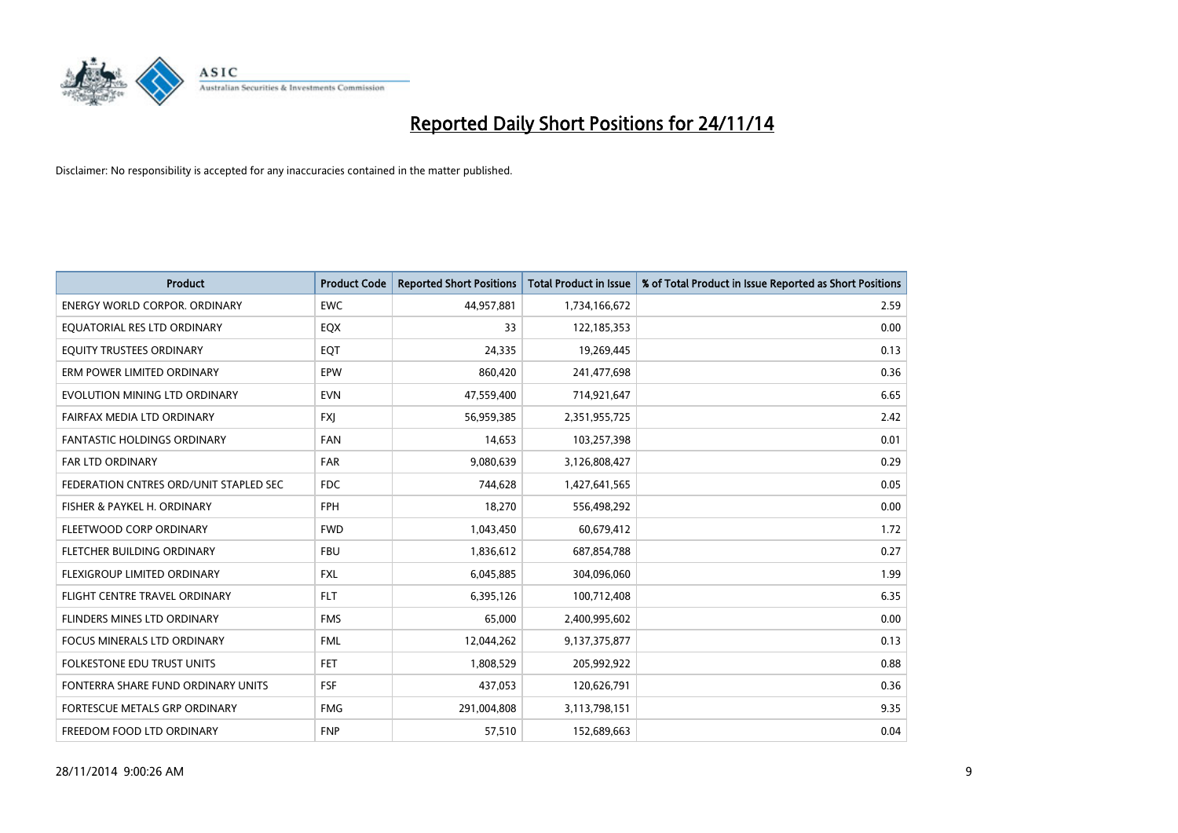

| <b>Product</b>                         | <b>Product Code</b> | <b>Reported Short Positions</b> | <b>Total Product in Issue</b> | % of Total Product in Issue Reported as Short Positions |
|----------------------------------------|---------------------|---------------------------------|-------------------------------|---------------------------------------------------------|
| <b>ENERGY WORLD CORPOR, ORDINARY</b>   | <b>EWC</b>          | 44,957,881                      | 1,734,166,672                 | 2.59                                                    |
| EQUATORIAL RES LTD ORDINARY            | EQX                 | 33                              | 122,185,353                   | 0.00                                                    |
| EQUITY TRUSTEES ORDINARY               | EQT                 | 24,335                          | 19,269,445                    | 0.13                                                    |
| ERM POWER LIMITED ORDINARY             | EPW                 | 860,420                         | 241,477,698                   | 0.36                                                    |
| EVOLUTION MINING LTD ORDINARY          | <b>EVN</b>          | 47,559,400                      | 714,921,647                   | 6.65                                                    |
| FAIRFAX MEDIA LTD ORDINARY             | <b>FXI</b>          | 56,959,385                      | 2,351,955,725                 | 2.42                                                    |
| <b>FANTASTIC HOLDINGS ORDINARY</b>     | FAN                 | 14,653                          | 103,257,398                   | 0.01                                                    |
| FAR LTD ORDINARY                       | <b>FAR</b>          | 9,080,639                       | 3,126,808,427                 | 0.29                                                    |
| FEDERATION CNTRES ORD/UNIT STAPLED SEC | <b>FDC</b>          | 744,628                         | 1,427,641,565                 | 0.05                                                    |
| FISHER & PAYKEL H. ORDINARY            | <b>FPH</b>          | 18,270                          | 556,498,292                   | 0.00                                                    |
| FLEETWOOD CORP ORDINARY                | <b>FWD</b>          | 1,043,450                       | 60,679,412                    | 1.72                                                    |
| FLETCHER BUILDING ORDINARY             | <b>FBU</b>          | 1,836,612                       | 687,854,788                   | 0.27                                                    |
| FLEXIGROUP LIMITED ORDINARY            | <b>FXL</b>          | 6,045,885                       | 304,096,060                   | 1.99                                                    |
| FLIGHT CENTRE TRAVEL ORDINARY          | <b>FLT</b>          | 6,395,126                       | 100,712,408                   | 6.35                                                    |
| FLINDERS MINES LTD ORDINARY            | <b>FMS</b>          | 65,000                          | 2,400,995,602                 | 0.00                                                    |
| FOCUS MINERALS LTD ORDINARY            | <b>FML</b>          | 12,044,262                      | 9,137,375,877                 | 0.13                                                    |
| FOLKESTONE EDU TRUST UNITS             | <b>FET</b>          | 1,808,529                       | 205,992,922                   | 0.88                                                    |
| FONTERRA SHARE FUND ORDINARY UNITS     | <b>FSF</b>          | 437,053                         | 120,626,791                   | 0.36                                                    |
| FORTESCUE METALS GRP ORDINARY          | <b>FMG</b>          | 291,004,808                     | 3,113,798,151                 | 9.35                                                    |
| FREEDOM FOOD LTD ORDINARY              | <b>FNP</b>          | 57,510                          | 152,689,663                   | 0.04                                                    |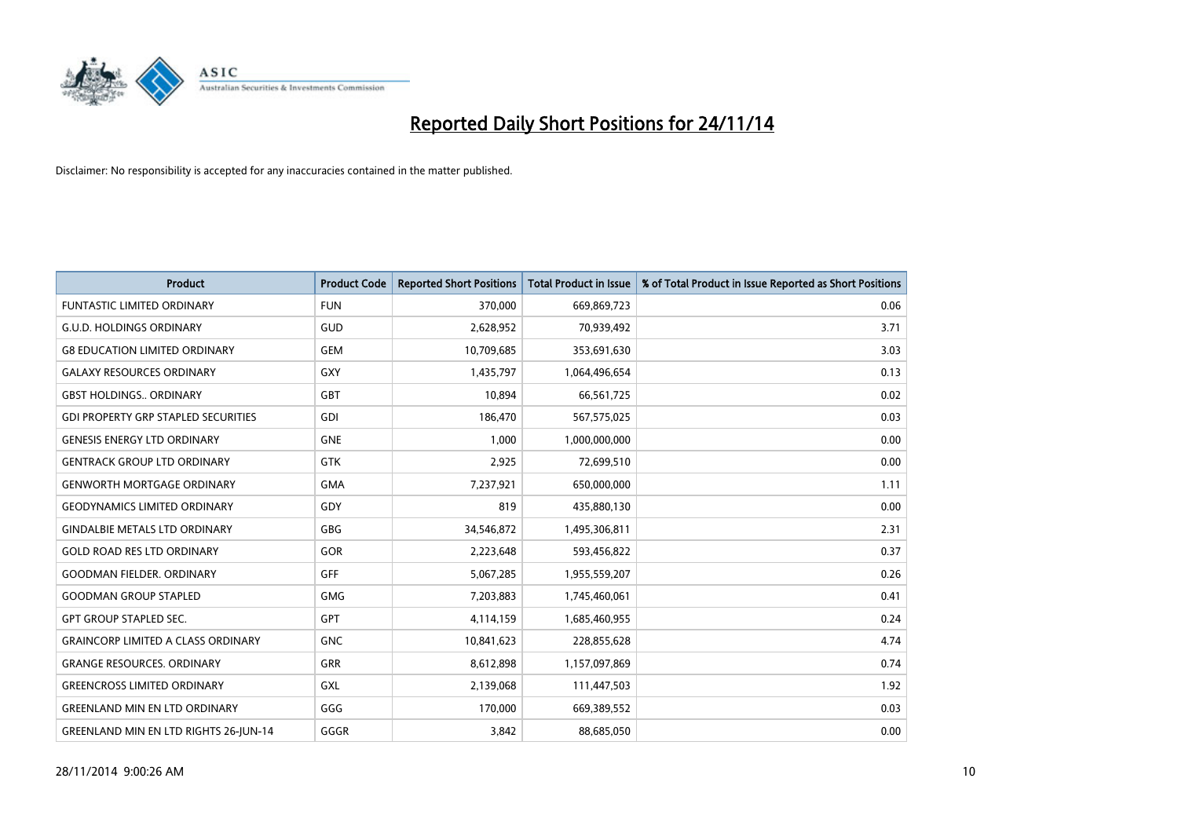

| <b>Product</b>                               | <b>Product Code</b> | <b>Reported Short Positions</b> | <b>Total Product in Issue</b> | % of Total Product in Issue Reported as Short Positions |
|----------------------------------------------|---------------------|---------------------------------|-------------------------------|---------------------------------------------------------|
| <b>FUNTASTIC LIMITED ORDINARY</b>            | <b>FUN</b>          | 370,000                         | 669,869,723                   | 0.06                                                    |
| <b>G.U.D. HOLDINGS ORDINARY</b>              | GUD                 | 2,628,952                       | 70,939,492                    | 3.71                                                    |
| <b>G8 EDUCATION LIMITED ORDINARY</b>         | <b>GEM</b>          | 10,709,685                      | 353,691,630                   | 3.03                                                    |
| <b>GALAXY RESOURCES ORDINARY</b>             | GXY                 | 1,435,797                       | 1,064,496,654                 | 0.13                                                    |
| <b>GBST HOLDINGS., ORDINARY</b>              | GBT                 | 10,894                          | 66,561,725                    | 0.02                                                    |
| <b>GDI PROPERTY GRP STAPLED SECURITIES</b>   | GDI                 | 186,470                         | 567,575,025                   | 0.03                                                    |
| <b>GENESIS ENERGY LTD ORDINARY</b>           | <b>GNE</b>          | 1,000                           | 1,000,000,000                 | 0.00                                                    |
| <b>GENTRACK GROUP LTD ORDINARY</b>           | <b>GTK</b>          | 2,925                           | 72,699,510                    | 0.00                                                    |
| <b>GENWORTH MORTGAGE ORDINARY</b>            | <b>GMA</b>          | 7,237,921                       | 650,000,000                   | 1.11                                                    |
| <b>GEODYNAMICS LIMITED ORDINARY</b>          | GDY                 | 819                             | 435,880,130                   | 0.00                                                    |
| <b>GINDALBIE METALS LTD ORDINARY</b>         | <b>GBG</b>          | 34,546,872                      | 1,495,306,811                 | 2.31                                                    |
| <b>GOLD ROAD RES LTD ORDINARY</b>            | GOR                 | 2,223,648                       | 593,456,822                   | 0.37                                                    |
| <b>GOODMAN FIELDER. ORDINARY</b>             | GFF                 | 5,067,285                       | 1,955,559,207                 | 0.26                                                    |
| <b>GOODMAN GROUP STAPLED</b>                 | <b>GMG</b>          | 7,203,883                       | 1,745,460,061                 | 0.41                                                    |
| <b>GPT GROUP STAPLED SEC.</b>                | <b>GPT</b>          | 4,114,159                       | 1,685,460,955                 | 0.24                                                    |
| <b>GRAINCORP LIMITED A CLASS ORDINARY</b>    | <b>GNC</b>          | 10,841,623                      | 228,855,628                   | 4.74                                                    |
| <b>GRANGE RESOURCES. ORDINARY</b>            | GRR                 | 8,612,898                       | 1,157,097,869                 | 0.74                                                    |
| <b>GREENCROSS LIMITED ORDINARY</b>           | <b>GXL</b>          | 2,139,068                       | 111,447,503                   | 1.92                                                    |
| <b>GREENLAND MIN EN LTD ORDINARY</b>         | GGG                 | 170,000                         | 669,389,552                   | 0.03                                                    |
| <b>GREENLAND MIN EN LTD RIGHTS 26-JUN-14</b> | GGGR                | 3,842                           | 88,685,050                    | 0.00                                                    |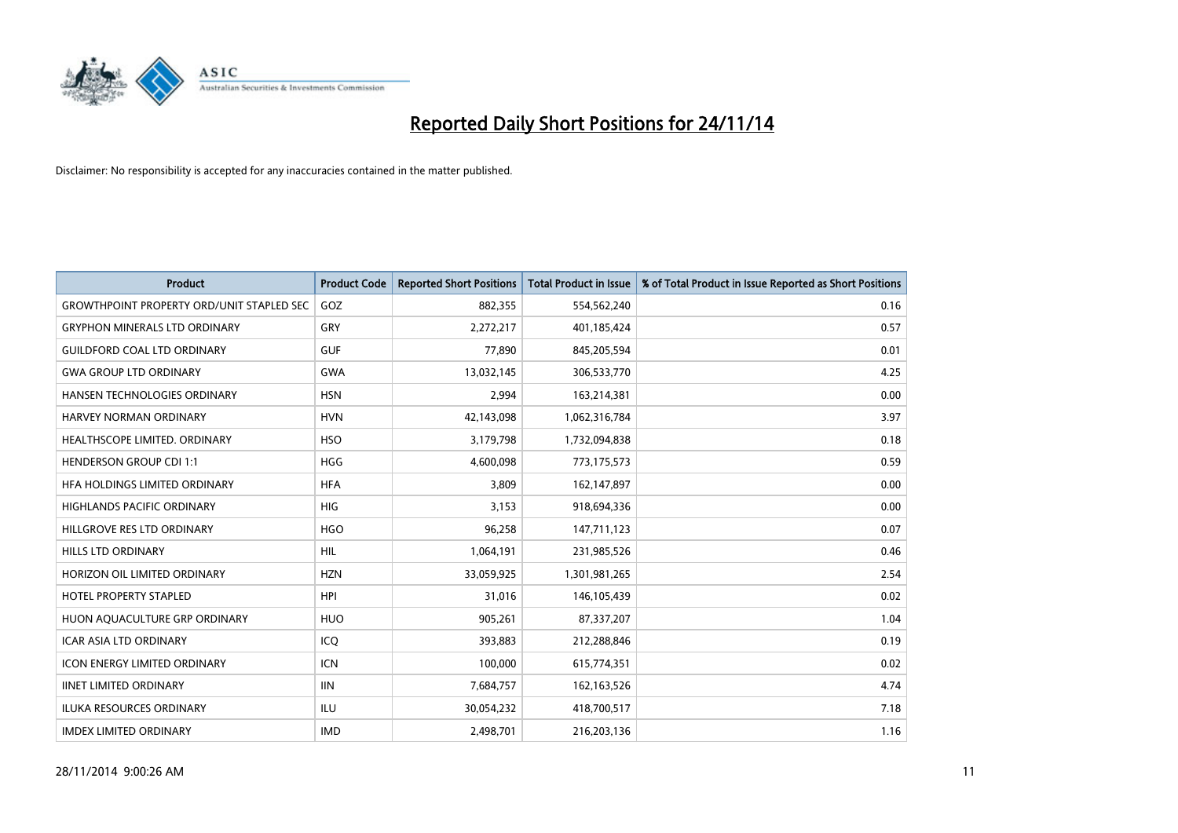

| <b>Product</b>                                   | <b>Product Code</b> | <b>Reported Short Positions</b> | <b>Total Product in Issue</b> | % of Total Product in Issue Reported as Short Positions |
|--------------------------------------------------|---------------------|---------------------------------|-------------------------------|---------------------------------------------------------|
| <b>GROWTHPOINT PROPERTY ORD/UNIT STAPLED SEC</b> | GOZ                 | 882,355                         | 554,562,240                   | 0.16                                                    |
| <b>GRYPHON MINERALS LTD ORDINARY</b>             | GRY                 | 2,272,217                       | 401,185,424                   | 0.57                                                    |
| <b>GUILDFORD COAL LTD ORDINARY</b>               | <b>GUF</b>          | 77,890                          | 845,205,594                   | 0.01                                                    |
| <b>GWA GROUP LTD ORDINARY</b>                    | <b>GWA</b>          | 13,032,145                      | 306,533,770                   | 4.25                                                    |
| HANSEN TECHNOLOGIES ORDINARY                     | <b>HSN</b>          | 2,994                           | 163,214,381                   | 0.00                                                    |
| <b>HARVEY NORMAN ORDINARY</b>                    | <b>HVN</b>          | 42,143,098                      | 1,062,316,784                 | 3.97                                                    |
| <b>HEALTHSCOPE LIMITED. ORDINARY</b>             | <b>HSO</b>          | 3,179,798                       | 1,732,094,838                 | 0.18                                                    |
| <b>HENDERSON GROUP CDI 1:1</b>                   | <b>HGG</b>          | 4,600,098                       | 773,175,573                   | 0.59                                                    |
| HFA HOLDINGS LIMITED ORDINARY                    | <b>HFA</b>          | 3.809                           | 162,147,897                   | 0.00                                                    |
| <b>HIGHLANDS PACIFIC ORDINARY</b>                | <b>HIG</b>          | 3,153                           | 918,694,336                   | 0.00                                                    |
| HILLGROVE RES LTD ORDINARY                       | <b>HGO</b>          | 96,258                          | 147,711,123                   | 0.07                                                    |
| <b>HILLS LTD ORDINARY</b>                        | <b>HIL</b>          | 1,064,191                       | 231,985,526                   | 0.46                                                    |
| HORIZON OIL LIMITED ORDINARY                     | <b>HZN</b>          | 33,059,925                      | 1,301,981,265                 | 2.54                                                    |
| <b>HOTEL PROPERTY STAPLED</b>                    | <b>HPI</b>          | 31,016                          | 146, 105, 439                 | 0.02                                                    |
| HUON AQUACULTURE GRP ORDINARY                    | <b>HUO</b>          | 905,261                         | 87,337,207                    | 1.04                                                    |
| <b>ICAR ASIA LTD ORDINARY</b>                    | ICO                 | 393,883                         | 212,288,846                   | 0.19                                                    |
| ICON ENERGY LIMITED ORDINARY                     | <b>ICN</b>          | 100,000                         | 615,774,351                   | 0.02                                                    |
| <b>IINET LIMITED ORDINARY</b>                    | <b>IIN</b>          | 7,684,757                       | 162,163,526                   | 4.74                                                    |
| <b>ILUKA RESOURCES ORDINARY</b>                  | ILU                 | 30,054,232                      | 418,700,517                   | 7.18                                                    |
| <b>IMDEX LIMITED ORDINARY</b>                    | <b>IMD</b>          | 2,498,701                       | 216,203,136                   | 1.16                                                    |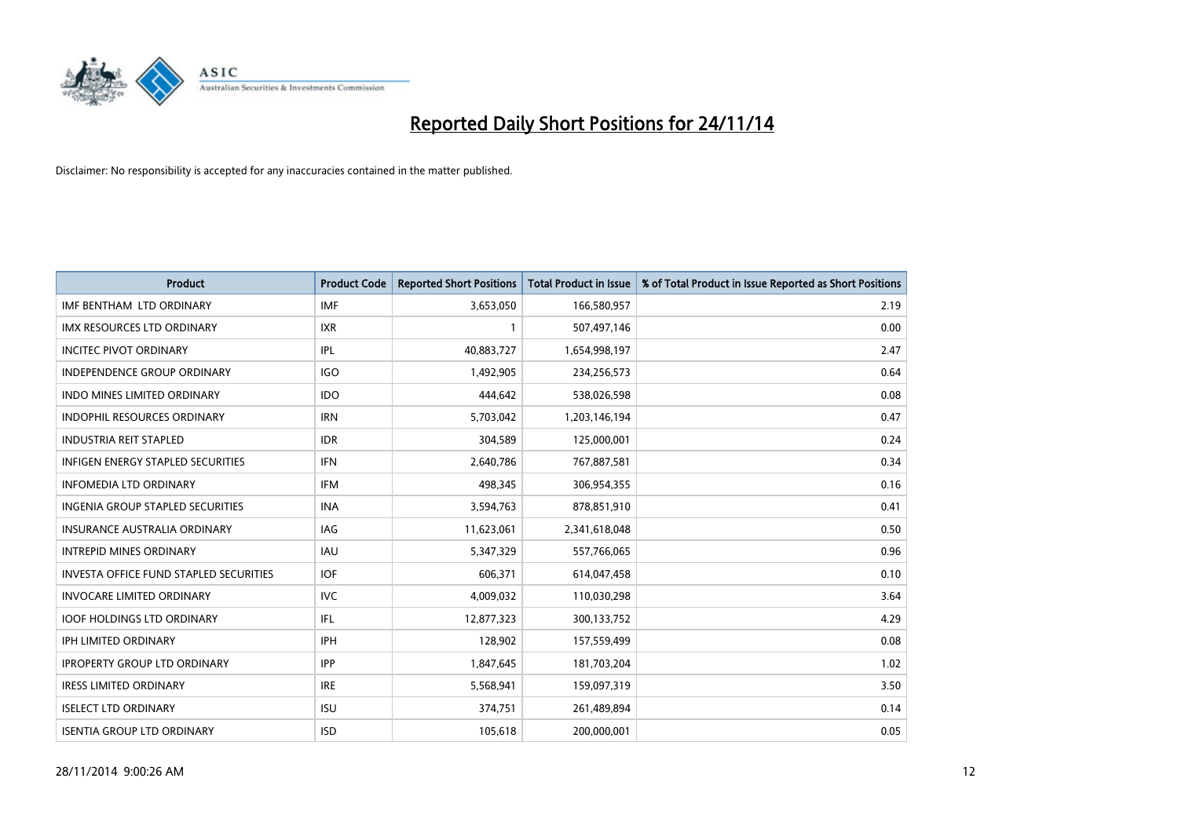

| <b>Product</b>                                | <b>Product Code</b> | <b>Reported Short Positions</b> | <b>Total Product in Issue</b> | % of Total Product in Issue Reported as Short Positions |
|-----------------------------------------------|---------------------|---------------------------------|-------------------------------|---------------------------------------------------------|
| IMF BENTHAM LTD ORDINARY                      | <b>IMF</b>          | 3,653,050                       | 166,580,957                   | 2.19                                                    |
| <b>IMX RESOURCES LTD ORDINARY</b>             | IXR                 |                                 | 507,497,146                   | 0.00                                                    |
| <b>INCITEC PIVOT ORDINARY</b>                 | IPL                 | 40,883,727                      | 1,654,998,197                 | 2.47                                                    |
| <b>INDEPENDENCE GROUP ORDINARY</b>            | <b>IGO</b>          | 1,492,905                       | 234,256,573                   | 0.64                                                    |
| <b>INDO MINES LIMITED ORDINARY</b>            | <b>IDO</b>          | 444,642                         | 538,026,598                   | 0.08                                                    |
| <b>INDOPHIL RESOURCES ORDINARY</b>            | <b>IRN</b>          | 5,703,042                       | 1,203,146,194                 | 0.47                                                    |
| <b>INDUSTRIA REIT STAPLED</b>                 | <b>IDR</b>          | 304,589                         | 125,000,001                   | 0.24                                                    |
| <b>INFIGEN ENERGY STAPLED SECURITIES</b>      | <b>IFN</b>          | 2,640,786                       | 767,887,581                   | 0.34                                                    |
| <b>INFOMEDIA LTD ORDINARY</b>                 | <b>IFM</b>          | 498,345                         | 306,954,355                   | 0.16                                                    |
| <b>INGENIA GROUP STAPLED SECURITIES</b>       | <b>INA</b>          | 3,594,763                       | 878,851,910                   | 0.41                                                    |
| <b>INSURANCE AUSTRALIA ORDINARY</b>           | <b>IAG</b>          | 11,623,061                      | 2,341,618,048                 | 0.50                                                    |
| <b>INTREPID MINES ORDINARY</b>                | IAU                 | 5,347,329                       | 557,766,065                   | 0.96                                                    |
| <b>INVESTA OFFICE FUND STAPLED SECURITIES</b> | <b>IOF</b>          | 606,371                         | 614,047,458                   | 0.10                                                    |
| <b>INVOCARE LIMITED ORDINARY</b>              | <b>IVC</b>          | 4,009,032                       | 110,030,298                   | 3.64                                                    |
| <b>IOOF HOLDINGS LTD ORDINARY</b>             | IFL                 | 12,877,323                      | 300,133,752                   | 4.29                                                    |
| IPH LIMITED ORDINARY                          | <b>IPH</b>          | 128,902                         | 157,559,499                   | 0.08                                                    |
| <b>IPROPERTY GROUP LTD ORDINARY</b>           | <b>IPP</b>          | 1,847,645                       | 181,703,204                   | 1.02                                                    |
| <b>IRESS LIMITED ORDINARY</b>                 | <b>IRE</b>          | 5,568,941                       | 159,097,319                   | 3.50                                                    |
| <b>ISELECT LTD ORDINARY</b>                   | <b>ISU</b>          | 374,751                         | 261,489,894                   | 0.14                                                    |
| <b>ISENTIA GROUP LTD ORDINARY</b>             | <b>ISD</b>          | 105,618                         | 200,000,001                   | 0.05                                                    |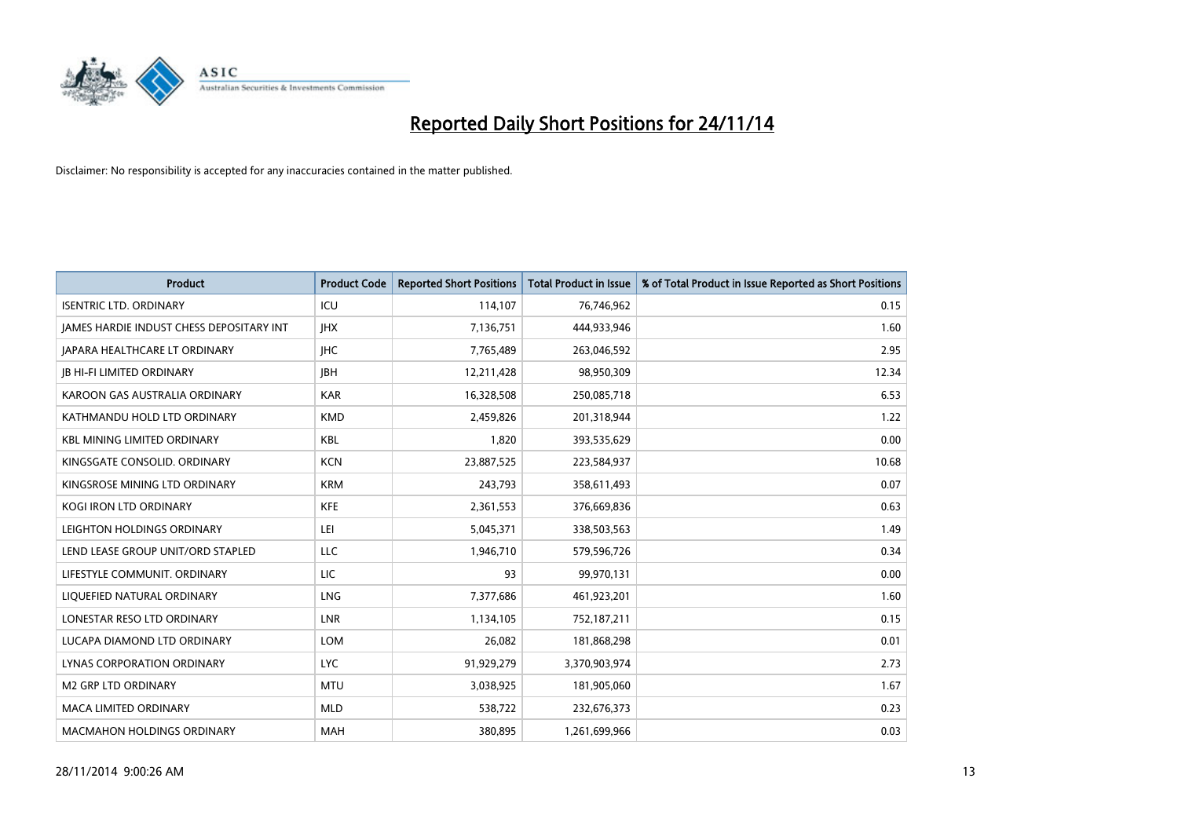

| <b>Product</b>                           | <b>Product Code</b> | <b>Reported Short Positions</b> | <b>Total Product in Issue</b> | % of Total Product in Issue Reported as Short Positions |
|------------------------------------------|---------------------|---------------------------------|-------------------------------|---------------------------------------------------------|
| <b>ISENTRIC LTD. ORDINARY</b>            | ICU                 | 114,107                         | 76,746,962                    | 0.15                                                    |
| JAMES HARDIE INDUST CHESS DEPOSITARY INT | <b>IHX</b>          | 7,136,751                       | 444,933,946                   | 1.60                                                    |
| JAPARA HEALTHCARE LT ORDINARY            | <b>IHC</b>          | 7,765,489                       | 263,046,592                   | 2.95                                                    |
| <b>JB HI-FI LIMITED ORDINARY</b>         | <b>JBH</b>          | 12,211,428                      | 98,950,309                    | 12.34                                                   |
| KAROON GAS AUSTRALIA ORDINARY            | <b>KAR</b>          | 16,328,508                      | 250,085,718                   | 6.53                                                    |
| KATHMANDU HOLD LTD ORDINARY              | <b>KMD</b>          | 2,459,826                       | 201,318,944                   | 1.22                                                    |
| <b>KBL MINING LIMITED ORDINARY</b>       | <b>KBL</b>          | 1.820                           | 393,535,629                   | 0.00                                                    |
| KINGSGATE CONSOLID. ORDINARY             | <b>KCN</b>          | 23,887,525                      | 223,584,937                   | 10.68                                                   |
| KINGSROSE MINING LTD ORDINARY            | <b>KRM</b>          | 243,793                         | 358,611,493                   | 0.07                                                    |
| <b>KOGI IRON LTD ORDINARY</b>            | <b>KFE</b>          | 2,361,553                       | 376,669,836                   | 0.63                                                    |
| LEIGHTON HOLDINGS ORDINARY               | LEI                 | 5,045,371                       | 338,503,563                   | 1.49                                                    |
| LEND LEASE GROUP UNIT/ORD STAPLED        | LLC                 | 1,946,710                       | 579,596,726                   | 0.34                                                    |
| LIFESTYLE COMMUNIT, ORDINARY             | LIC                 | 93                              | 99,970,131                    | 0.00                                                    |
| LIQUEFIED NATURAL ORDINARY               | LNG                 | 7,377,686                       | 461,923,201                   | 1.60                                                    |
| LONESTAR RESO LTD ORDINARY               | LNR                 | 1,134,105                       | 752,187,211                   | 0.15                                                    |
| LUCAPA DIAMOND LTD ORDINARY              | <b>LOM</b>          | 26,082                          | 181,868,298                   | 0.01                                                    |
| LYNAS CORPORATION ORDINARY               | <b>LYC</b>          | 91,929,279                      | 3,370,903,974                 | 2.73                                                    |
| <b>M2 GRP LTD ORDINARY</b>               | <b>MTU</b>          | 3,038,925                       | 181,905,060                   | 1.67                                                    |
| <b>MACA LIMITED ORDINARY</b>             | <b>MLD</b>          | 538,722                         | 232,676,373                   | 0.23                                                    |
| <b>MACMAHON HOLDINGS ORDINARY</b>        | <b>MAH</b>          | 380,895                         | 1,261,699,966                 | 0.03                                                    |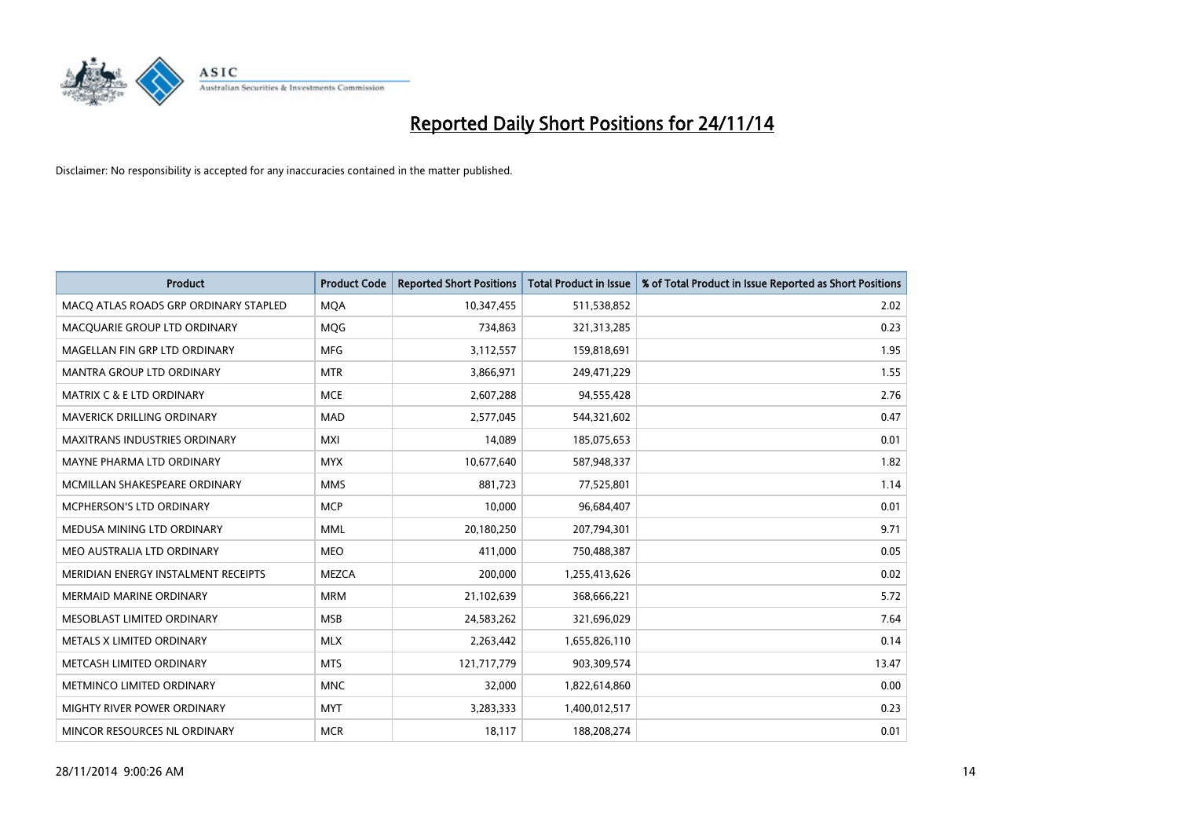

| <b>Product</b>                        | <b>Product Code</b> | <b>Reported Short Positions</b> | <b>Total Product in Issue</b> | % of Total Product in Issue Reported as Short Positions |
|---------------------------------------|---------------------|---------------------------------|-------------------------------|---------------------------------------------------------|
| MACO ATLAS ROADS GRP ORDINARY STAPLED | <b>MQA</b>          | 10,347,455                      | 511,538,852                   | 2.02                                                    |
| MACQUARIE GROUP LTD ORDINARY          | <b>MQG</b>          | 734,863                         | 321,313,285                   | 0.23                                                    |
| MAGELLAN FIN GRP LTD ORDINARY         | <b>MFG</b>          | 3,112,557                       | 159,818,691                   | 1.95                                                    |
| <b>MANTRA GROUP LTD ORDINARY</b>      | <b>MTR</b>          | 3,866,971                       | 249,471,229                   | 1.55                                                    |
| MATRIX C & E LTD ORDINARY             | <b>MCE</b>          | 2,607,288                       | 94,555,428                    | 2.76                                                    |
| MAVERICK DRILLING ORDINARY            | <b>MAD</b>          | 2,577,045                       | 544,321,602                   | 0.47                                                    |
| MAXITRANS INDUSTRIES ORDINARY         | <b>MXI</b>          | 14,089                          | 185,075,653                   | 0.01                                                    |
| MAYNE PHARMA LTD ORDINARY             | <b>MYX</b>          | 10,677,640                      | 587,948,337                   | 1.82                                                    |
| MCMILLAN SHAKESPEARE ORDINARY         | <b>MMS</b>          | 881,723                         | 77,525,801                    | 1.14                                                    |
| <b>MCPHERSON'S LTD ORDINARY</b>       | <b>MCP</b>          | 10,000                          | 96,684,407                    | 0.01                                                    |
| MEDUSA MINING LTD ORDINARY            | <b>MML</b>          | 20,180,250                      | 207,794,301                   | 9.71                                                    |
| MEO AUSTRALIA LTD ORDINARY            | <b>MEO</b>          | 411,000                         | 750,488,387                   | 0.05                                                    |
| MERIDIAN ENERGY INSTALMENT RECEIPTS   | <b>MEZCA</b>        | 200,000                         | 1,255,413,626                 | 0.02                                                    |
| <b>MERMAID MARINE ORDINARY</b>        | <b>MRM</b>          | 21,102,639                      | 368,666,221                   | 5.72                                                    |
| MESOBLAST LIMITED ORDINARY            | <b>MSB</b>          | 24,583,262                      | 321,696,029                   | 7.64                                                    |
| METALS X LIMITED ORDINARY             | <b>MLX</b>          | 2,263,442                       | 1,655,826,110                 | 0.14                                                    |
| METCASH LIMITED ORDINARY              | <b>MTS</b>          | 121,717,779                     | 903,309,574                   | 13.47                                                   |
| METMINCO LIMITED ORDINARY             | <b>MNC</b>          | 32,000                          | 1,822,614,860                 | 0.00                                                    |
| MIGHTY RIVER POWER ORDINARY           | <b>MYT</b>          | 3,283,333                       | 1,400,012,517                 | 0.23                                                    |
| MINCOR RESOURCES NL ORDINARY          | <b>MCR</b>          | 18,117                          | 188,208,274                   | 0.01                                                    |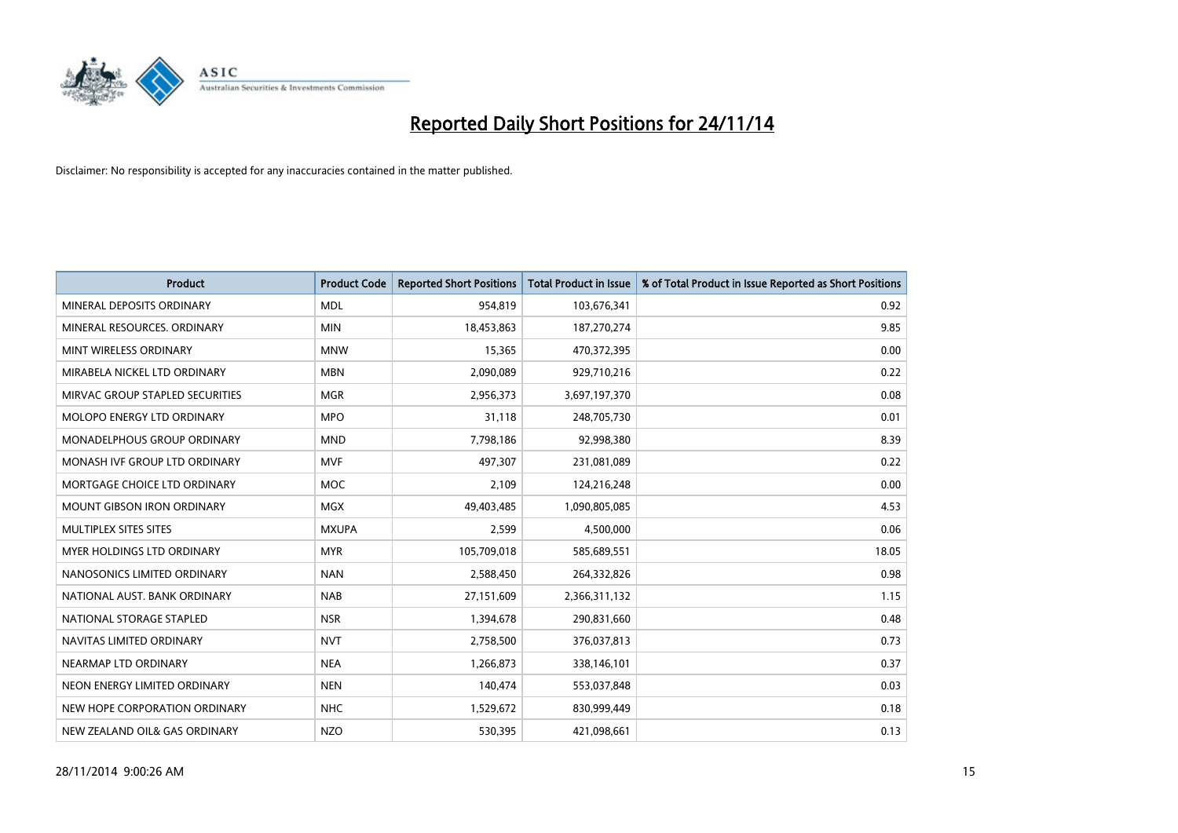

| <b>Product</b>                    | <b>Product Code</b> | <b>Reported Short Positions</b> | <b>Total Product in Issue</b> | % of Total Product in Issue Reported as Short Positions |
|-----------------------------------|---------------------|---------------------------------|-------------------------------|---------------------------------------------------------|
| MINERAL DEPOSITS ORDINARY         | <b>MDL</b>          | 954,819                         | 103,676,341                   | 0.92                                                    |
| MINERAL RESOURCES, ORDINARY       | <b>MIN</b>          | 18,453,863                      | 187,270,274                   | 9.85                                                    |
| MINT WIRELESS ORDINARY            | <b>MNW</b>          | 15,365                          | 470,372,395                   | 0.00                                                    |
| MIRABELA NICKEL LTD ORDINARY      | <b>MBN</b>          | 2,090,089                       | 929,710,216                   | 0.22                                                    |
| MIRVAC GROUP STAPLED SECURITIES   | <b>MGR</b>          | 2,956,373                       | 3,697,197,370                 | 0.08                                                    |
| MOLOPO ENERGY LTD ORDINARY        | <b>MPO</b>          | 31,118                          | 248,705,730                   | 0.01                                                    |
| MONADELPHOUS GROUP ORDINARY       | <b>MND</b>          | 7,798,186                       | 92,998,380                    | 8.39                                                    |
| MONASH IVE GROUP LTD ORDINARY     | <b>MVF</b>          | 497,307                         | 231,081,089                   | 0.22                                                    |
| MORTGAGE CHOICE LTD ORDINARY      | <b>MOC</b>          | 2,109                           | 124,216,248                   | 0.00                                                    |
| <b>MOUNT GIBSON IRON ORDINARY</b> | <b>MGX</b>          | 49,403,485                      | 1,090,805,085                 | 4.53                                                    |
| MULTIPLEX SITES SITES             | <b>MXUPA</b>        | 2,599                           | 4,500,000                     | 0.06                                                    |
| MYER HOLDINGS LTD ORDINARY        | <b>MYR</b>          | 105,709,018                     | 585,689,551                   | 18.05                                                   |
| NANOSONICS LIMITED ORDINARY       | <b>NAN</b>          | 2,588,450                       | 264,332,826                   | 0.98                                                    |
| NATIONAL AUST, BANK ORDINARY      | <b>NAB</b>          | 27,151,609                      | 2,366,311,132                 | 1.15                                                    |
| NATIONAL STORAGE STAPLED          | <b>NSR</b>          | 1,394,678                       | 290,831,660                   | 0.48                                                    |
| NAVITAS LIMITED ORDINARY          | <b>NVT</b>          | 2,758,500                       | 376,037,813                   | 0.73                                                    |
| NEARMAP LTD ORDINARY              | <b>NEA</b>          | 1,266,873                       | 338,146,101                   | 0.37                                                    |
| NEON ENERGY LIMITED ORDINARY      | <b>NEN</b>          | 140,474                         | 553,037,848                   | 0.03                                                    |
| NEW HOPE CORPORATION ORDINARY     | <b>NHC</b>          | 1,529,672                       | 830,999,449                   | 0.18                                                    |
| NEW ZEALAND OIL& GAS ORDINARY     | <b>NZO</b>          | 530,395                         | 421,098,661                   | 0.13                                                    |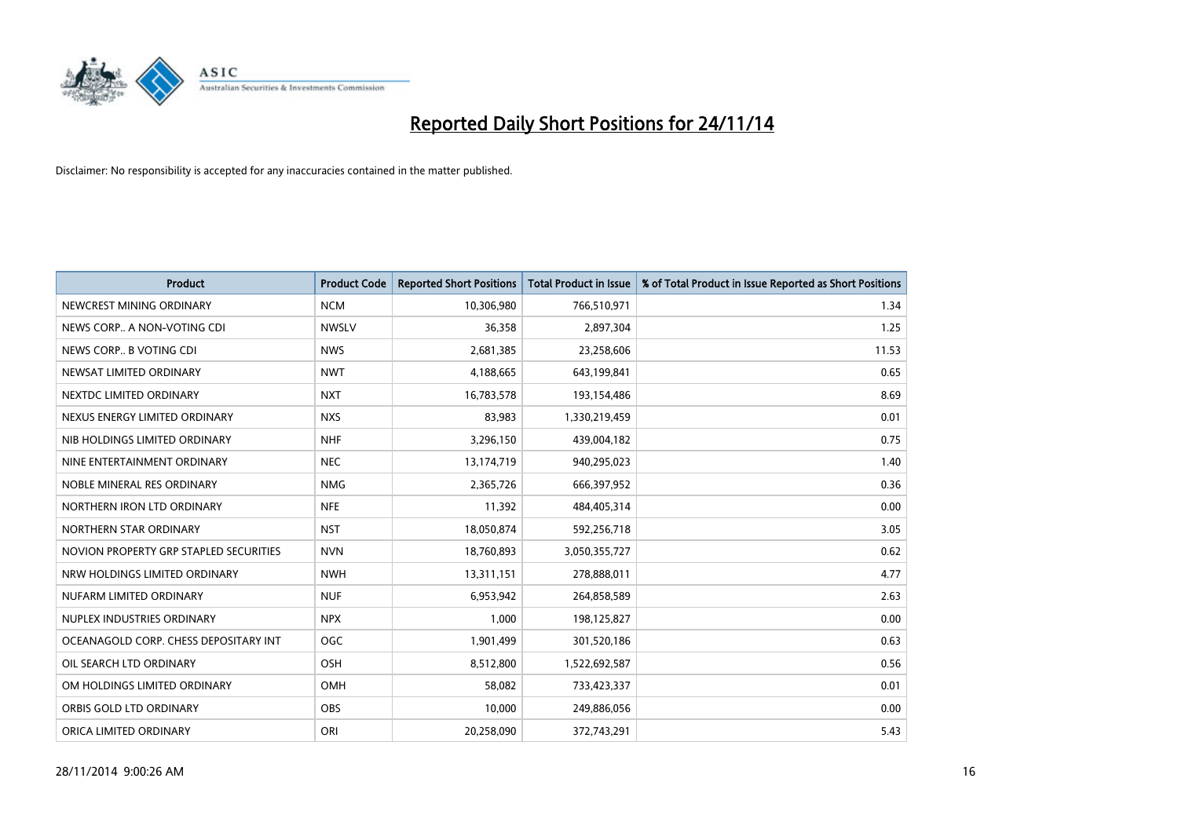

| <b>Product</b>                         | <b>Product Code</b> | <b>Reported Short Positions</b> | <b>Total Product in Issue</b> | % of Total Product in Issue Reported as Short Positions |
|----------------------------------------|---------------------|---------------------------------|-------------------------------|---------------------------------------------------------|
| NEWCREST MINING ORDINARY               | <b>NCM</b>          | 10,306,980                      | 766,510,971                   | 1.34                                                    |
| NEWS CORP A NON-VOTING CDI             | <b>NWSLV</b>        | 36,358                          | 2,897,304                     | 1.25                                                    |
| NEWS CORP B VOTING CDI                 | <b>NWS</b>          | 2,681,385                       | 23,258,606                    | 11.53                                                   |
| NEWSAT LIMITED ORDINARY                | <b>NWT</b>          | 4,188,665                       | 643,199,841                   | 0.65                                                    |
| NEXTDC LIMITED ORDINARY                | <b>NXT</b>          | 16,783,578                      | 193,154,486                   | 8.69                                                    |
| NEXUS ENERGY LIMITED ORDINARY          | <b>NXS</b>          | 83,983                          | 1,330,219,459                 | 0.01                                                    |
| NIB HOLDINGS LIMITED ORDINARY          | <b>NHF</b>          | 3,296,150                       | 439,004,182                   | 0.75                                                    |
| NINE ENTERTAINMENT ORDINARY            | <b>NEC</b>          | 13,174,719                      | 940,295,023                   | 1.40                                                    |
| NOBLE MINERAL RES ORDINARY             | <b>NMG</b>          | 2,365,726                       | 666,397,952                   | 0.36                                                    |
| NORTHERN IRON LTD ORDINARY             | <b>NFE</b>          | 11,392                          | 484,405,314                   | 0.00                                                    |
| NORTHERN STAR ORDINARY                 | <b>NST</b>          | 18,050,874                      | 592,256,718                   | 3.05                                                    |
| NOVION PROPERTY GRP STAPLED SECURITIES | <b>NVN</b>          | 18,760,893                      | 3,050,355,727                 | 0.62                                                    |
| NRW HOLDINGS LIMITED ORDINARY          | <b>NWH</b>          | 13,311,151                      | 278,888,011                   | 4.77                                                    |
| NUFARM LIMITED ORDINARY                | <b>NUF</b>          | 6,953,942                       | 264,858,589                   | 2.63                                                    |
| NUPLEX INDUSTRIES ORDINARY             | <b>NPX</b>          | 1,000                           | 198,125,827                   | 0.00                                                    |
| OCEANAGOLD CORP. CHESS DEPOSITARY INT  | <b>OGC</b>          | 1,901,499                       | 301,520,186                   | 0.63                                                    |
| OIL SEARCH LTD ORDINARY                | OSH                 | 8,512,800                       | 1,522,692,587                 | 0.56                                                    |
| OM HOLDINGS LIMITED ORDINARY           | OMH                 | 58,082                          | 733,423,337                   | 0.01                                                    |
| ORBIS GOLD LTD ORDINARY                | <b>OBS</b>          | 10,000                          | 249,886,056                   | 0.00                                                    |
| ORICA LIMITED ORDINARY                 | ORI                 | 20,258,090                      | 372,743,291                   | 5.43                                                    |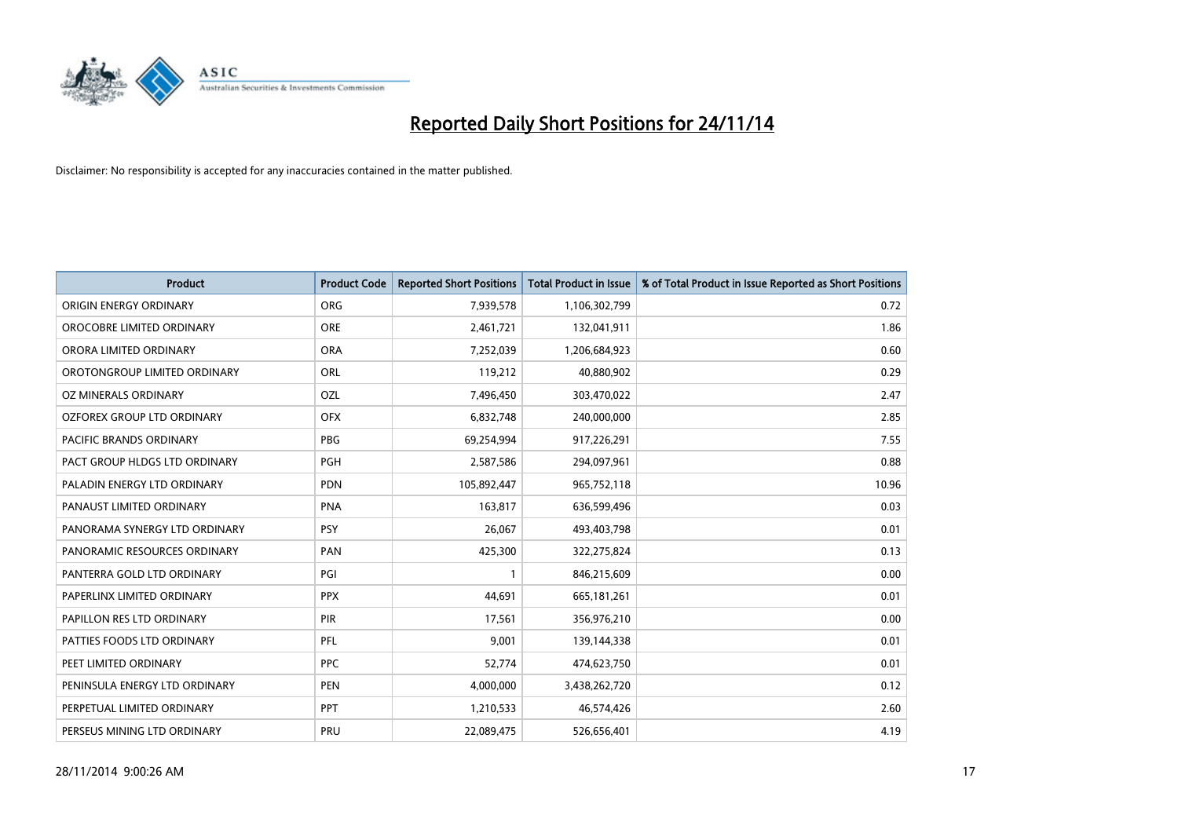

| <b>Product</b>                | <b>Product Code</b> | <b>Reported Short Positions</b> | <b>Total Product in Issue</b> | % of Total Product in Issue Reported as Short Positions |
|-------------------------------|---------------------|---------------------------------|-------------------------------|---------------------------------------------------------|
| ORIGIN ENERGY ORDINARY        | <b>ORG</b>          | 7,939,578                       | 1,106,302,799                 | 0.72                                                    |
| OROCOBRE LIMITED ORDINARY     | <b>ORE</b>          | 2,461,721                       | 132,041,911                   | 1.86                                                    |
| ORORA LIMITED ORDINARY        | <b>ORA</b>          | 7,252,039                       | 1,206,684,923                 | 0.60                                                    |
| OROTONGROUP LIMITED ORDINARY  | <b>ORL</b>          | 119,212                         | 40,880,902                    | 0.29                                                    |
| OZ MINERALS ORDINARY          | OZL                 | 7,496,450                       | 303,470,022                   | 2.47                                                    |
| OZFOREX GROUP LTD ORDINARY    | <b>OFX</b>          | 6,832,748                       | 240,000,000                   | 2.85                                                    |
| PACIFIC BRANDS ORDINARY       | <b>PBG</b>          | 69,254,994                      | 917,226,291                   | 7.55                                                    |
| PACT GROUP HLDGS LTD ORDINARY | <b>PGH</b>          | 2,587,586                       | 294,097,961                   | 0.88                                                    |
| PALADIN ENERGY LTD ORDINARY   | <b>PDN</b>          | 105,892,447                     | 965,752,118                   | 10.96                                                   |
| PANAUST LIMITED ORDINARY      | <b>PNA</b>          | 163,817                         | 636,599,496                   | 0.03                                                    |
| PANORAMA SYNERGY LTD ORDINARY | <b>PSY</b>          | 26,067                          | 493,403,798                   | 0.01                                                    |
| PANORAMIC RESOURCES ORDINARY  | <b>PAN</b>          | 425,300                         | 322,275,824                   | 0.13                                                    |
| PANTERRA GOLD LTD ORDINARY    | PGI                 | $\mathbf{1}$                    | 846,215,609                   | 0.00                                                    |
| PAPERLINX LIMITED ORDINARY    | <b>PPX</b>          | 44,691                          | 665, 181, 261                 | 0.01                                                    |
| PAPILLON RES LTD ORDINARY     | <b>PIR</b>          | 17,561                          | 356,976,210                   | 0.00                                                    |
| PATTIES FOODS LTD ORDINARY    | PFL                 | 9,001                           | 139,144,338                   | 0.01                                                    |
| PEET LIMITED ORDINARY         | <b>PPC</b>          | 52,774                          | 474,623,750                   | 0.01                                                    |
| PENINSULA ENERGY LTD ORDINARY | <b>PEN</b>          | 4,000,000                       | 3,438,262,720                 | 0.12                                                    |
| PERPETUAL LIMITED ORDINARY    | <b>PPT</b>          | 1,210,533                       | 46,574,426                    | 2.60                                                    |
| PERSEUS MINING LTD ORDINARY   | PRU                 | 22,089,475                      | 526,656,401                   | 4.19                                                    |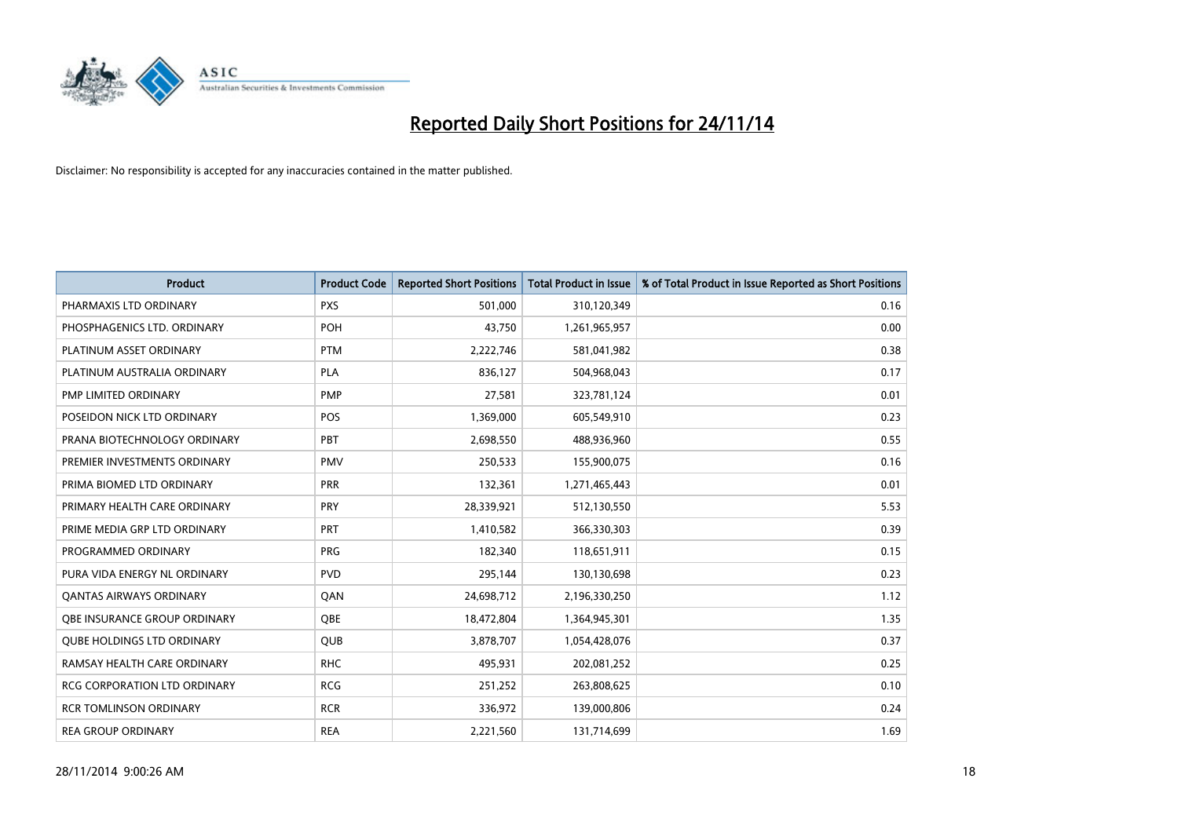

| <b>Product</b>                      | <b>Product Code</b> | <b>Reported Short Positions</b> | <b>Total Product in Issue</b> | % of Total Product in Issue Reported as Short Positions |
|-------------------------------------|---------------------|---------------------------------|-------------------------------|---------------------------------------------------------|
| PHARMAXIS LTD ORDINARY              | <b>PXS</b>          | 501,000                         | 310,120,349                   | 0.16                                                    |
| PHOSPHAGENICS LTD. ORDINARY         | <b>POH</b>          | 43,750                          | 1,261,965,957                 | 0.00                                                    |
| PLATINUM ASSET ORDINARY             | <b>PTM</b>          | 2,222,746                       | 581,041,982                   | 0.38                                                    |
| PLATINUM AUSTRALIA ORDINARY         | <b>PLA</b>          | 836,127                         | 504,968,043                   | 0.17                                                    |
| PMP LIMITED ORDINARY                | <b>PMP</b>          | 27,581                          | 323,781,124                   | 0.01                                                    |
| POSEIDON NICK LTD ORDINARY          | <b>POS</b>          | 1,369,000                       | 605,549,910                   | 0.23                                                    |
| PRANA BIOTECHNOLOGY ORDINARY        | PBT                 | 2,698,550                       | 488,936,960                   | 0.55                                                    |
| PREMIER INVESTMENTS ORDINARY        | <b>PMV</b>          | 250,533                         | 155,900,075                   | 0.16                                                    |
| PRIMA BIOMED LTD ORDINARY           | <b>PRR</b>          | 132,361                         | 1,271,465,443                 | 0.01                                                    |
| PRIMARY HEALTH CARE ORDINARY        | <b>PRY</b>          | 28,339,921                      | 512,130,550                   | 5.53                                                    |
| PRIME MEDIA GRP LTD ORDINARY        | <b>PRT</b>          | 1,410,582                       | 366,330,303                   | 0.39                                                    |
| PROGRAMMED ORDINARY                 | <b>PRG</b>          | 182,340                         | 118,651,911                   | 0.15                                                    |
| PURA VIDA ENERGY NL ORDINARY        | <b>PVD</b>          | 295,144                         | 130,130,698                   | 0.23                                                    |
| OANTAS AIRWAYS ORDINARY             | QAN                 | 24,698,712                      | 2,196,330,250                 | 1.12                                                    |
| OBE INSURANCE GROUP ORDINARY        | <b>OBE</b>          | 18,472,804                      | 1,364,945,301                 | 1.35                                                    |
| <b>QUBE HOLDINGS LTD ORDINARY</b>   | <b>QUB</b>          | 3,878,707                       | 1,054,428,076                 | 0.37                                                    |
| RAMSAY HEALTH CARE ORDINARY         | <b>RHC</b>          | 495,931                         | 202,081,252                   | 0.25                                                    |
| <b>RCG CORPORATION LTD ORDINARY</b> | <b>RCG</b>          | 251,252                         | 263,808,625                   | 0.10                                                    |
| <b>RCR TOMLINSON ORDINARY</b>       | <b>RCR</b>          | 336,972                         | 139,000,806                   | 0.24                                                    |
| <b>REA GROUP ORDINARY</b>           | <b>REA</b>          | 2,221,560                       | 131,714,699                   | 1.69                                                    |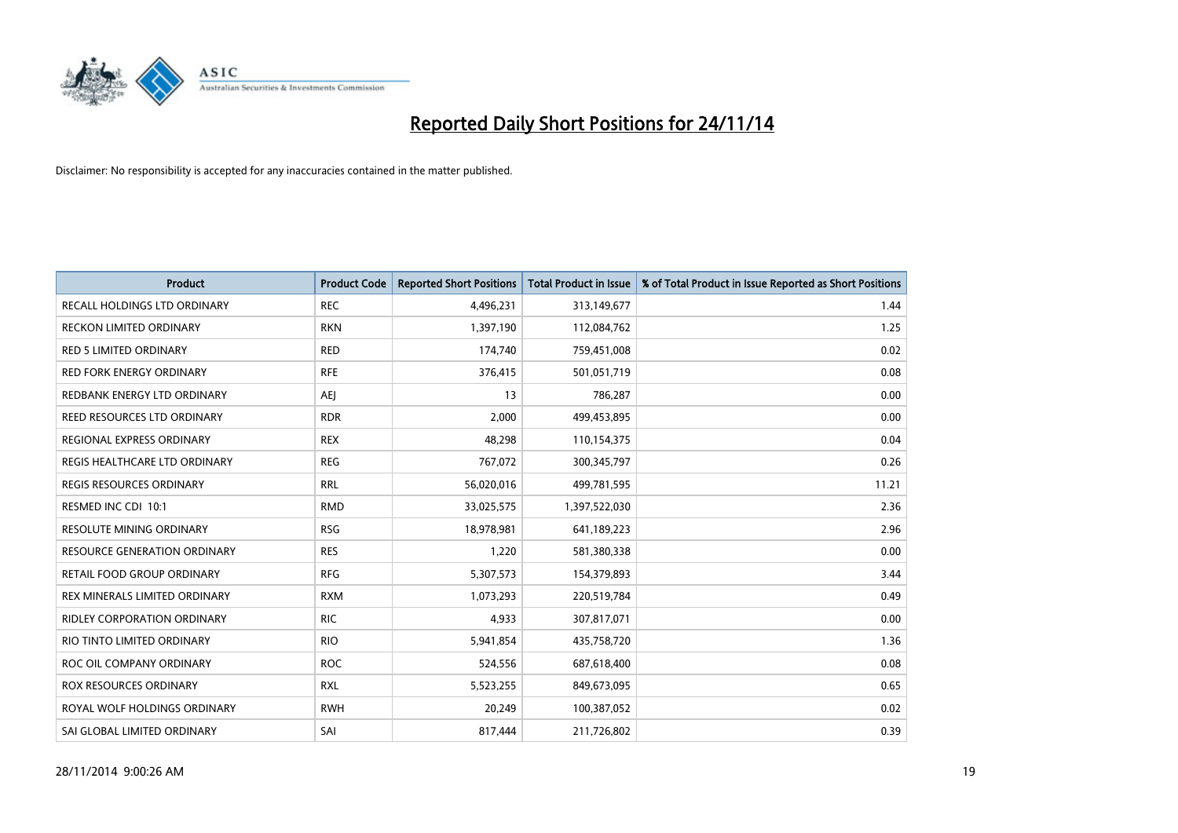

| Product                             | <b>Product Code</b> | <b>Reported Short Positions</b> | <b>Total Product in Issue</b> | % of Total Product in Issue Reported as Short Positions |
|-------------------------------------|---------------------|---------------------------------|-------------------------------|---------------------------------------------------------|
| RECALL HOLDINGS LTD ORDINARY        | <b>REC</b>          | 4,496,231                       | 313,149,677                   | 1.44                                                    |
| RECKON LIMITED ORDINARY             | <b>RKN</b>          | 1,397,190                       | 112,084,762                   | 1.25                                                    |
| <b>RED 5 LIMITED ORDINARY</b>       | <b>RED</b>          | 174,740                         | 759,451,008                   | 0.02                                                    |
| <b>RED FORK ENERGY ORDINARY</b>     | <b>RFE</b>          | 376,415                         | 501,051,719                   | 0.08                                                    |
| REDBANK ENERGY LTD ORDINARY         | <b>AEI</b>          | 13                              | 786,287                       | 0.00                                                    |
| REED RESOURCES LTD ORDINARY         | <b>RDR</b>          | 2,000                           | 499,453,895                   | 0.00                                                    |
| REGIONAL EXPRESS ORDINARY           | <b>REX</b>          | 48,298                          | 110,154,375                   | 0.04                                                    |
| REGIS HEALTHCARE LTD ORDINARY       | <b>REG</b>          | 767,072                         | 300, 345, 797                 | 0.26                                                    |
| <b>REGIS RESOURCES ORDINARY</b>     | <b>RRL</b>          | 56,020,016                      | 499,781,595                   | 11.21                                                   |
| RESMED INC CDI 10:1                 | <b>RMD</b>          | 33,025,575                      | 1,397,522,030                 | 2.36                                                    |
| RESOLUTE MINING ORDINARY            | <b>RSG</b>          | 18,978,981                      | 641,189,223                   | 2.96                                                    |
| <b>RESOURCE GENERATION ORDINARY</b> | <b>RES</b>          | 1,220                           | 581,380,338                   | 0.00                                                    |
| RETAIL FOOD GROUP ORDINARY          | <b>RFG</b>          | 5,307,573                       | 154,379,893                   | 3.44                                                    |
| REX MINERALS LIMITED ORDINARY       | <b>RXM</b>          | 1,073,293                       | 220,519,784                   | 0.49                                                    |
| <b>RIDLEY CORPORATION ORDINARY</b>  | <b>RIC</b>          | 4,933                           | 307,817,071                   | 0.00                                                    |
| RIO TINTO LIMITED ORDINARY          | <b>RIO</b>          | 5,941,854                       | 435,758,720                   | 1.36                                                    |
| ROC OIL COMPANY ORDINARY            | <b>ROC</b>          | 524,556                         | 687,618,400                   | 0.08                                                    |
| ROX RESOURCES ORDINARY              | <b>RXL</b>          | 5,523,255                       | 849,673,095                   | 0.65                                                    |
| ROYAL WOLF HOLDINGS ORDINARY        | <b>RWH</b>          | 20,249                          | 100,387,052                   | 0.02                                                    |
| SAI GLOBAL LIMITED ORDINARY         | SAI                 | 817,444                         | 211,726,802                   | 0.39                                                    |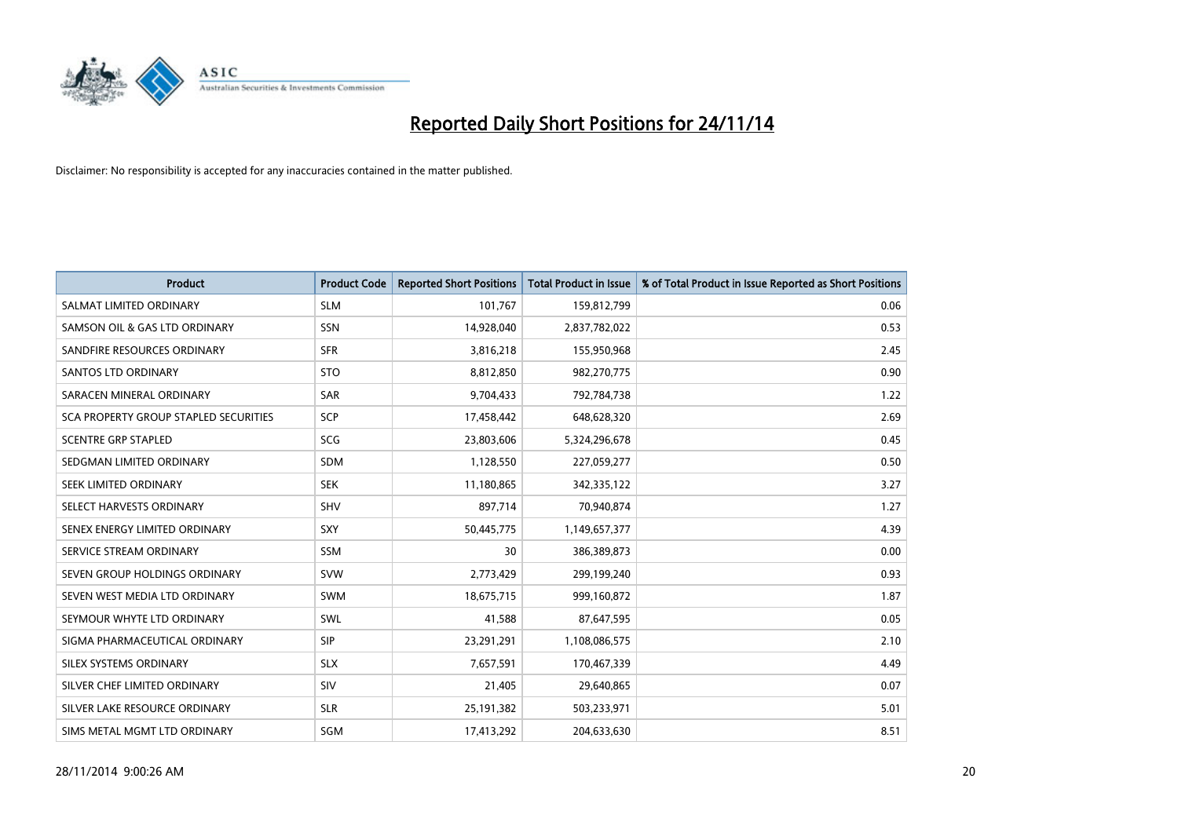

| <b>Product</b>                        | <b>Product Code</b> | <b>Reported Short Positions</b> | <b>Total Product in Issue</b> | % of Total Product in Issue Reported as Short Positions |
|---------------------------------------|---------------------|---------------------------------|-------------------------------|---------------------------------------------------------|
| SALMAT LIMITED ORDINARY               | <b>SLM</b>          | 101,767                         | 159,812,799                   | 0.06                                                    |
| SAMSON OIL & GAS LTD ORDINARY         | <b>SSN</b>          | 14,928,040                      | 2,837,782,022                 | 0.53                                                    |
| SANDFIRE RESOURCES ORDINARY           | <b>SFR</b>          | 3,816,218                       | 155,950,968                   | 2.45                                                    |
| SANTOS LTD ORDINARY                   | <b>STO</b>          | 8,812,850                       | 982,270,775                   | 0.90                                                    |
| SARACEN MINERAL ORDINARY              | SAR                 | 9,704,433                       | 792,784,738                   | 1.22                                                    |
| SCA PROPERTY GROUP STAPLED SECURITIES | SCP                 | 17,458,442                      | 648,628,320                   | 2.69                                                    |
| <b>SCENTRE GRP STAPLED</b>            | SCG                 | 23,803,606                      | 5,324,296,678                 | 0.45                                                    |
| SEDGMAN LIMITED ORDINARY              | SDM                 | 1,128,550                       | 227,059,277                   | 0.50                                                    |
| SEEK LIMITED ORDINARY                 | <b>SEK</b>          | 11,180,865                      | 342,335,122                   | 3.27                                                    |
| SELECT HARVESTS ORDINARY              | SHV                 | 897,714                         | 70,940,874                    | 1.27                                                    |
| SENEX ENERGY LIMITED ORDINARY         | <b>SXY</b>          | 50,445,775                      | 1,149,657,377                 | 4.39                                                    |
| SERVICE STREAM ORDINARY               | SSM                 | 30                              | 386,389,873                   | 0.00                                                    |
| SEVEN GROUP HOLDINGS ORDINARY         | <b>SVW</b>          | 2,773,429                       | 299,199,240                   | 0.93                                                    |
| SEVEN WEST MEDIA LTD ORDINARY         | <b>SWM</b>          | 18,675,715                      | 999,160,872                   | 1.87                                                    |
| SEYMOUR WHYTE LTD ORDINARY            | SWL                 | 41,588                          | 87,647,595                    | 0.05                                                    |
| SIGMA PHARMACEUTICAL ORDINARY         | <b>SIP</b>          | 23,291,291                      | 1,108,086,575                 | 2.10                                                    |
| SILEX SYSTEMS ORDINARY                | <b>SLX</b>          | 7,657,591                       | 170,467,339                   | 4.49                                                    |
| SILVER CHEF LIMITED ORDINARY          | SIV                 | 21,405                          | 29,640,865                    | 0.07                                                    |
| SILVER LAKE RESOURCE ORDINARY         | <b>SLR</b>          | 25,191,382                      | 503,233,971                   | 5.01                                                    |
| SIMS METAL MGMT LTD ORDINARY          | SGM                 | 17,413,292                      | 204,633,630                   | 8.51                                                    |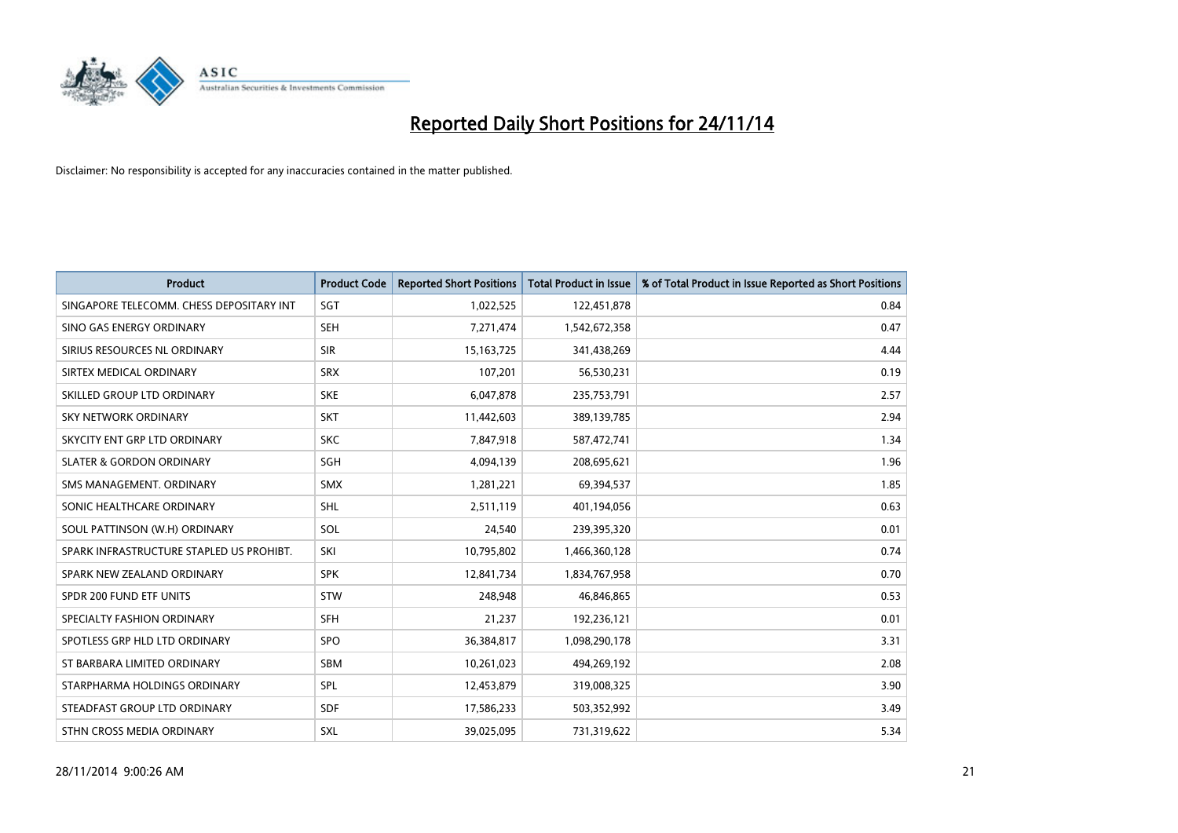

| <b>Product</b>                           | <b>Product Code</b> | <b>Reported Short Positions</b> | <b>Total Product in Issue</b> | % of Total Product in Issue Reported as Short Positions |
|------------------------------------------|---------------------|---------------------------------|-------------------------------|---------------------------------------------------------|
| SINGAPORE TELECOMM. CHESS DEPOSITARY INT | SGT                 | 1,022,525                       | 122,451,878                   | 0.84                                                    |
| SINO GAS ENERGY ORDINARY                 | <b>SEH</b>          | 7,271,474                       | 1,542,672,358                 | 0.47                                                    |
| SIRIUS RESOURCES NL ORDINARY             | <b>SIR</b>          | 15, 163, 725                    | 341,438,269                   | 4.44                                                    |
| SIRTEX MEDICAL ORDINARY                  | <b>SRX</b>          | 107,201                         | 56,530,231                    | 0.19                                                    |
| SKILLED GROUP LTD ORDINARY               | <b>SKE</b>          | 6,047,878                       | 235,753,791                   | 2.57                                                    |
| <b>SKY NETWORK ORDINARY</b>              | <b>SKT</b>          | 11,442,603                      | 389,139,785                   | 2.94                                                    |
| SKYCITY ENT GRP LTD ORDINARY             | <b>SKC</b>          | 7,847,918                       | 587,472,741                   | 1.34                                                    |
| <b>SLATER &amp; GORDON ORDINARY</b>      | SGH                 | 4,094,139                       | 208,695,621                   | 1.96                                                    |
| SMS MANAGEMENT, ORDINARY                 | <b>SMX</b>          | 1,281,221                       | 69,394,537                    | 1.85                                                    |
| SONIC HEALTHCARE ORDINARY                | <b>SHL</b>          | 2,511,119                       | 401,194,056                   | 0.63                                                    |
| SOUL PATTINSON (W.H) ORDINARY            | SOL                 | 24,540                          | 239,395,320                   | 0.01                                                    |
| SPARK INFRASTRUCTURE STAPLED US PROHIBT. | SKI                 | 10,795,802                      | 1,466,360,128                 | 0.74                                                    |
| SPARK NEW ZEALAND ORDINARY               | <b>SPK</b>          | 12,841,734                      | 1,834,767,958                 | 0.70                                                    |
| SPDR 200 FUND ETF UNITS                  | <b>STW</b>          | 248,948                         | 46,846,865                    | 0.53                                                    |
| SPECIALTY FASHION ORDINARY               | <b>SFH</b>          | 21,237                          | 192,236,121                   | 0.01                                                    |
| SPOTLESS GRP HLD LTD ORDINARY            | SPO                 | 36,384,817                      | 1,098,290,178                 | 3.31                                                    |
| ST BARBARA LIMITED ORDINARY              | SBM                 | 10,261,023                      | 494,269,192                   | 2.08                                                    |
| STARPHARMA HOLDINGS ORDINARY             | <b>SPL</b>          | 12,453,879                      | 319,008,325                   | 3.90                                                    |
| STEADFAST GROUP LTD ORDINARY             | <b>SDF</b>          | 17,586,233                      | 503,352,992                   | 3.49                                                    |
| STHN CROSS MEDIA ORDINARY                | <b>SXL</b>          | 39,025,095                      | 731,319,622                   | 5.34                                                    |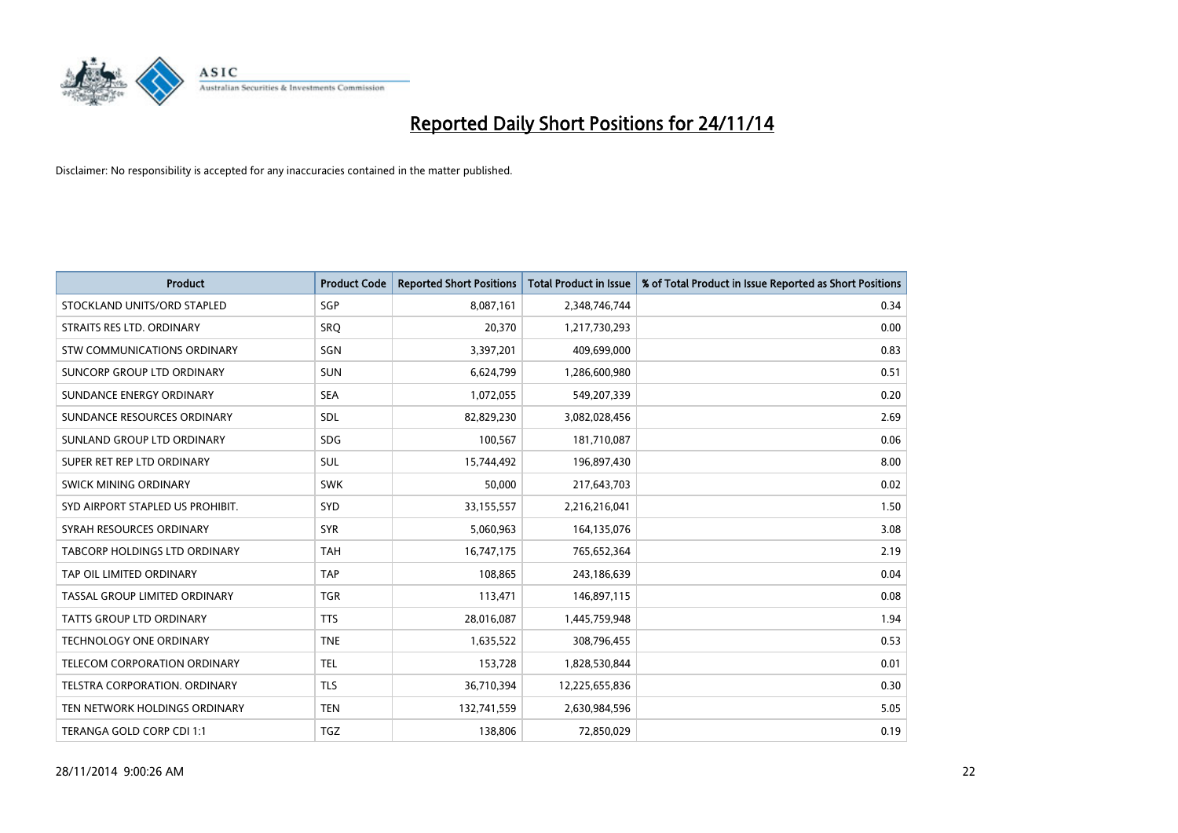

| <b>Product</b>                   | <b>Product Code</b> | <b>Reported Short Positions</b> | <b>Total Product in Issue</b> | % of Total Product in Issue Reported as Short Positions |
|----------------------------------|---------------------|---------------------------------|-------------------------------|---------------------------------------------------------|
| STOCKLAND UNITS/ORD STAPLED      | SGP                 | 8,087,161                       | 2,348,746,744                 | 0.34                                                    |
| STRAITS RES LTD. ORDINARY        | <b>SRQ</b>          | 20,370                          | 1,217,730,293                 | 0.00                                                    |
| STW COMMUNICATIONS ORDINARY      | SGN                 | 3,397,201                       | 409,699,000                   | 0.83                                                    |
| SUNCORP GROUP LTD ORDINARY       | <b>SUN</b>          | 6,624,799                       | 1,286,600,980                 | 0.51                                                    |
| SUNDANCE ENERGY ORDINARY         | <b>SEA</b>          | 1,072,055                       | 549,207,339                   | 0.20                                                    |
| SUNDANCE RESOURCES ORDINARY      | SDL                 | 82,829,230                      | 3,082,028,456                 | 2.69                                                    |
| SUNLAND GROUP LTD ORDINARY       | <b>SDG</b>          | 100,567                         | 181,710,087                   | 0.06                                                    |
| SUPER RET REP LTD ORDINARY       | SUL                 | 15,744,492                      | 196,897,430                   | 8.00                                                    |
| SWICK MINING ORDINARY            | <b>SWK</b>          | 50,000                          | 217,643,703                   | 0.02                                                    |
| SYD AIRPORT STAPLED US PROHIBIT. | <b>SYD</b>          | 33,155,557                      | 2,216,216,041                 | 1.50                                                    |
| SYRAH RESOURCES ORDINARY         | <b>SYR</b>          | 5,060,963                       | 164,135,076                   | 3.08                                                    |
| TABCORP HOLDINGS LTD ORDINARY    | <b>TAH</b>          | 16,747,175                      | 765,652,364                   | 2.19                                                    |
| TAP OIL LIMITED ORDINARY         | <b>TAP</b>          | 108,865                         | 243,186,639                   | 0.04                                                    |
| TASSAL GROUP LIMITED ORDINARY    | <b>TGR</b>          | 113,471                         | 146,897,115                   | 0.08                                                    |
| <b>TATTS GROUP LTD ORDINARY</b>  | <b>TTS</b>          | 28,016,087                      | 1,445,759,948                 | 1.94                                                    |
| TECHNOLOGY ONE ORDINARY          | <b>TNE</b>          | 1,635,522                       | 308,796,455                   | 0.53                                                    |
| TELECOM CORPORATION ORDINARY     | <b>TEL</b>          | 153,728                         | 1,828,530,844                 | 0.01                                                    |
| TELSTRA CORPORATION, ORDINARY    | <b>TLS</b>          | 36,710,394                      | 12,225,655,836                | 0.30                                                    |
| TEN NETWORK HOLDINGS ORDINARY    | <b>TEN</b>          | 132,741,559                     | 2,630,984,596                 | 5.05                                                    |
| TERANGA GOLD CORP CDI 1:1        | <b>TGZ</b>          | 138,806                         | 72,850,029                    | 0.19                                                    |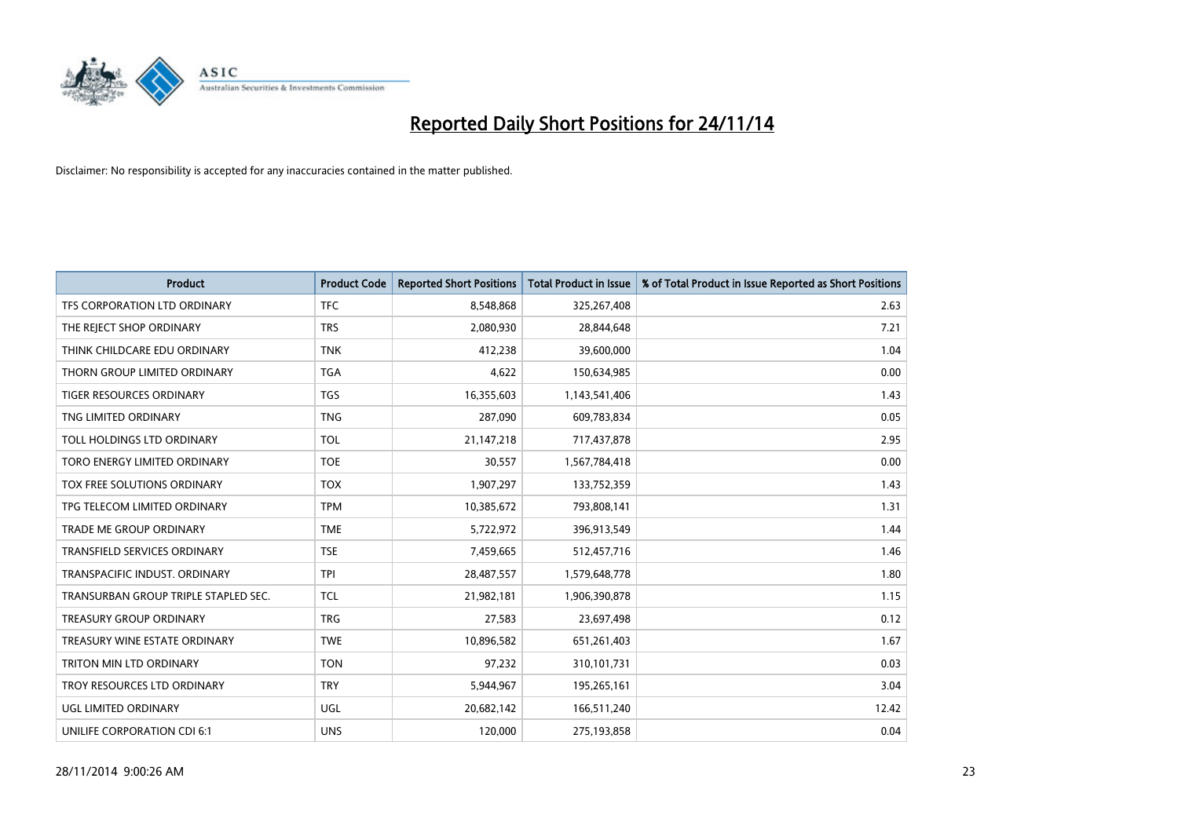

| <b>Product</b>                       | <b>Product Code</b> | <b>Reported Short Positions</b> | <b>Total Product in Issue</b> | % of Total Product in Issue Reported as Short Positions |
|--------------------------------------|---------------------|---------------------------------|-------------------------------|---------------------------------------------------------|
| TFS CORPORATION LTD ORDINARY         | <b>TFC</b>          | 8,548,868                       | 325,267,408                   | 2.63                                                    |
| THE REJECT SHOP ORDINARY             | <b>TRS</b>          | 2,080,930                       | 28,844,648                    | 7.21                                                    |
| THINK CHILDCARE EDU ORDINARY         | <b>TNK</b>          | 412,238                         | 39,600,000                    | 1.04                                                    |
| THORN GROUP LIMITED ORDINARY         | <b>TGA</b>          | 4,622                           | 150,634,985                   | 0.00                                                    |
| <b>TIGER RESOURCES ORDINARY</b>      | TGS                 | 16,355,603                      | 1,143,541,406                 | 1.43                                                    |
| TNG LIMITED ORDINARY                 | <b>TNG</b>          | 287,090                         | 609,783,834                   | 0.05                                                    |
| TOLL HOLDINGS LTD ORDINARY           | <b>TOL</b>          | 21,147,218                      | 717,437,878                   | 2.95                                                    |
| TORO ENERGY LIMITED ORDINARY         | <b>TOE</b>          | 30,557                          | 1,567,784,418                 | 0.00                                                    |
| TOX FREE SOLUTIONS ORDINARY          | <b>TOX</b>          | 1,907,297                       | 133,752,359                   | 1.43                                                    |
| TPG TELECOM LIMITED ORDINARY         | <b>TPM</b>          | 10,385,672                      | 793,808,141                   | 1.31                                                    |
| TRADE ME GROUP ORDINARY              | <b>TME</b>          | 5,722,972                       | 396,913,549                   | 1.44                                                    |
| <b>TRANSFIELD SERVICES ORDINARY</b>  | <b>TSE</b>          | 7,459,665                       | 512,457,716                   | 1.46                                                    |
| TRANSPACIFIC INDUST. ORDINARY        | <b>TPI</b>          | 28,487,557                      | 1,579,648,778                 | 1.80                                                    |
| TRANSURBAN GROUP TRIPLE STAPLED SEC. | TCL                 | 21,982,181                      | 1,906,390,878                 | 1.15                                                    |
| <b>TREASURY GROUP ORDINARY</b>       | <b>TRG</b>          | 27,583                          | 23,697,498                    | 0.12                                                    |
| TREASURY WINE ESTATE ORDINARY        | <b>TWE</b>          | 10,896,582                      | 651,261,403                   | 1.67                                                    |
| TRITON MIN LTD ORDINARY              | <b>TON</b>          | 97,232                          | 310,101,731                   | 0.03                                                    |
| TROY RESOURCES LTD ORDINARY          | <b>TRY</b>          | 5,944,967                       | 195,265,161                   | 3.04                                                    |
| UGL LIMITED ORDINARY                 | UGL                 | 20,682,142                      | 166,511,240                   | 12.42                                                   |
| UNILIFE CORPORATION CDI 6:1          | <b>UNS</b>          | 120,000                         | 275,193,858                   | 0.04                                                    |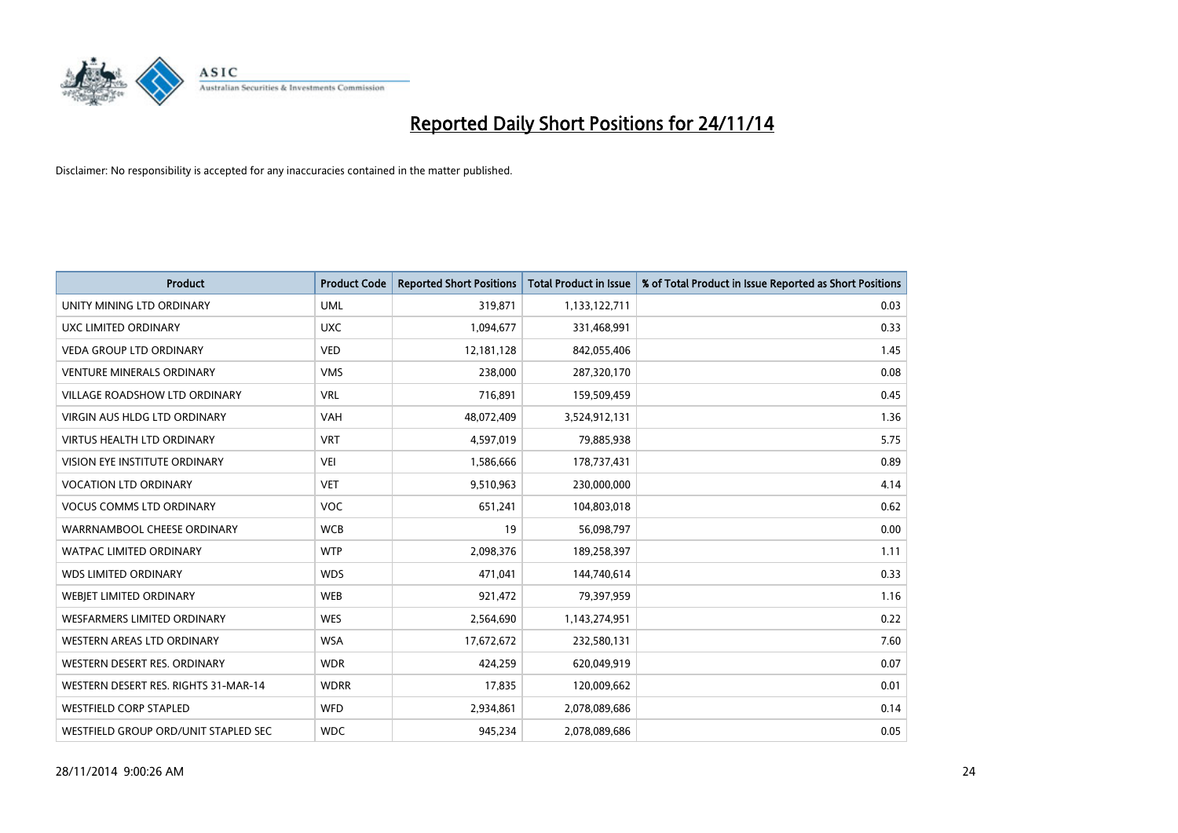

| <b>Product</b>                       | <b>Product Code</b> | <b>Reported Short Positions</b> | <b>Total Product in Issue</b> | % of Total Product in Issue Reported as Short Positions |
|--------------------------------------|---------------------|---------------------------------|-------------------------------|---------------------------------------------------------|
| UNITY MINING LTD ORDINARY            | <b>UML</b>          | 319,871                         | 1,133,122,711                 | 0.03                                                    |
| UXC LIMITED ORDINARY                 | <b>UXC</b>          | 1,094,677                       | 331,468,991                   | 0.33                                                    |
| <b>VEDA GROUP LTD ORDINARY</b>       | <b>VED</b>          | 12,181,128                      | 842,055,406                   | 1.45                                                    |
| <b>VENTURE MINERALS ORDINARY</b>     | <b>VMS</b>          | 238,000                         | 287,320,170                   | 0.08                                                    |
| <b>VILLAGE ROADSHOW LTD ORDINARY</b> | <b>VRL</b>          | 716,891                         | 159,509,459                   | 0.45                                                    |
| <b>VIRGIN AUS HLDG LTD ORDINARY</b>  | VAH                 | 48,072,409                      | 3,524,912,131                 | 1.36                                                    |
| <b>VIRTUS HEALTH LTD ORDINARY</b>    | <b>VRT</b>          | 4,597,019                       | 79,885,938                    | 5.75                                                    |
| VISION EYE INSTITUTE ORDINARY        | <b>VEI</b>          | 1,586,666                       | 178,737,431                   | 0.89                                                    |
| <b>VOCATION LTD ORDINARY</b>         | <b>VET</b>          | 9,510,963                       | 230,000,000                   | 4.14                                                    |
| <b>VOCUS COMMS LTD ORDINARY</b>      | <b>VOC</b>          | 651,241                         | 104,803,018                   | 0.62                                                    |
| WARRNAMBOOL CHEESE ORDINARY          | <b>WCB</b>          | 19                              | 56,098,797                    | 0.00                                                    |
| <b>WATPAC LIMITED ORDINARY</b>       | <b>WTP</b>          | 2,098,376                       | 189,258,397                   | 1.11                                                    |
| <b>WDS LIMITED ORDINARY</b>          | <b>WDS</b>          | 471,041                         | 144,740,614                   | 0.33                                                    |
| WEBIET LIMITED ORDINARY              | <b>WEB</b>          | 921,472                         | 79,397,959                    | 1.16                                                    |
| <b>WESFARMERS LIMITED ORDINARY</b>   | <b>WES</b>          | 2,564,690                       | 1,143,274,951                 | 0.22                                                    |
| <b>WESTERN AREAS LTD ORDINARY</b>    | <b>WSA</b>          | 17,672,672                      | 232,580,131                   | 7.60                                                    |
| WESTERN DESERT RES. ORDINARY         | <b>WDR</b>          | 424,259                         | 620,049,919                   | 0.07                                                    |
| WESTERN DESERT RES. RIGHTS 31-MAR-14 | <b>WDRR</b>         | 17,835                          | 120,009,662                   | 0.01                                                    |
| <b>WESTFIELD CORP STAPLED</b>        | <b>WFD</b>          | 2,934,861                       | 2,078,089,686                 | 0.14                                                    |
| WESTFIELD GROUP ORD/UNIT STAPLED SEC | <b>WDC</b>          | 945,234                         | 2,078,089,686                 | 0.05                                                    |